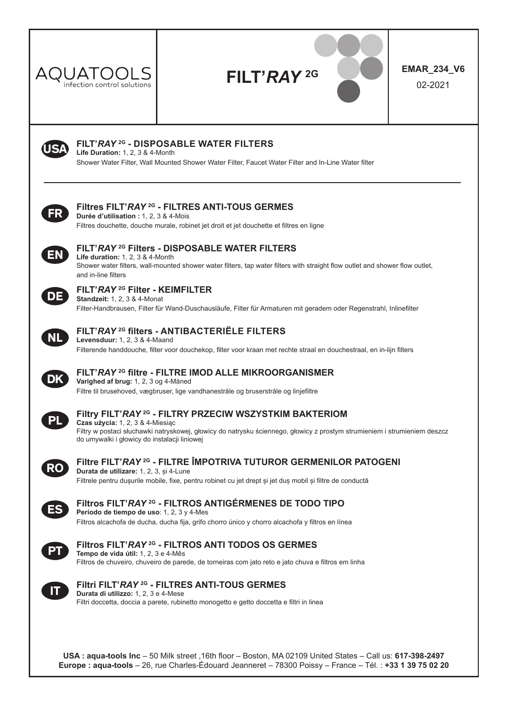

# **FILT'***RAY* **2G EMAR\_234\_V6**

02-2021



### **FILT'***RAY* **2G - DISPOSABLE WATER FILTERS**

**Life Duration:** 1, 2, 3 & 4-Month Shower Water Filter, Wall Mounted Shower Water Filter, Faucet Water Filter and In-Line Water filter



### **Filtres FILT'***RAY* **2G - FILTRES ANTI-TOUS GERMES**

**Durée d'utilisation :** 1, 2, 3 & 4-Mois Filtres douchette, douche murale, robinet jet droit et jet douchette et filtres en ligne



### **FILT'***RAY* **2G Filters - DISPOSABLE WATER FILTERS**

**Life duration:** 1, 2, 3 & 4-Month Shower water filters, wall-mounted shower water filters, tap water filters with straight flow outlet and shower flow outlet, and in-line filters



### **FILT'***RAY* **2G Filter - KEIMFILTER**

**Standzeit:** 1, 2, 3 & 4-Monat Filter-Handbrausen, Filter für Wand-Duschausläufe, Filter für Armaturen mit geradem oder Regenstrahl, Inlinefilter



#### **FILT'***RAY* **2G filters - ANTIBACTERIËLE FILTERS Levensduur:** 1, 2, 3 & 4-Maand

Filterende handdouche, filter voor douchekop, filter voor kraan met rechte straal en douchestraal, en in-lijn filters



#### **FILT'***RAY* **2G filtre - FILTRE IMOD ALLE MIKROORGANISMER Varighed af brug:** 1, 2, 3 og 4-Måned

Filtre til brusehoved, vægbruser, lige vandhanestråle og bruserstråle og linjefiltre



### **Filtry FILT'***RAY* **2G - FILTRY PRZECIW WSZYSTKIM BAKTERIOM**

**Czas użycia:** 1, 2, 3 & 4-Miesiąc Filtry w postaci słuchawki natryskowej, głowicy do natrysku ściennego, głowicy z prostym strumieniem i strumieniem deszcz do umywalki i głowicy do instalacji liniowej



#### **Filtre FILT'***RAY* **2G - FILTRE ÎMPOTRIVA TUTUROR GERMENILOR PATOGENI Durata de utilizare:** 1, 2, 3, și 4-Lune Filtrele pentru dusurile mobile, fixe, pentru robinet cu jet drept și jet duș mobil și filtre de conductă



#### **Filtros FILT'***RAY* **2G - FILTROS ANTIGÉRMENES DE TODO TIPO Período de tiempo de uso**: 1, 2, 3 y 4-Mes

Filtros alcachofa de ducha, ducha fija, grifo chorro único y chorro alcachofa y filtros en línea



### **Filtros FILT'***RAY* **2G - FILTROS ANTI TODOS OS GERMES**

**Tempo de vida útil:** 1, 2, 3 e 4-Mês Filtros de chuveiro, chuveiro de parede, de torneiras com jato reto e jato chuva e filtros em linha



### **Filtri FILT'***RAY* **2G - FILTRES ANTI-TOUS GERMES**

**Durata di utilizzo:** 1, 2, 3 e 4-Mese Filtri doccetta, doccia a parete, rubinetto monogetto e getto doccetta e filtri in linea

**USA : aqua-tools Inc** – 50 Milk street ,16th floor – Boston, MA 02109 United States – Call us: **617-398-2497 Europe : aqua-tools** – 26, rue Charles-Édouard Jeanneret – 78300 Poissy – France – Tél. : **+33 1 39 75 02 20**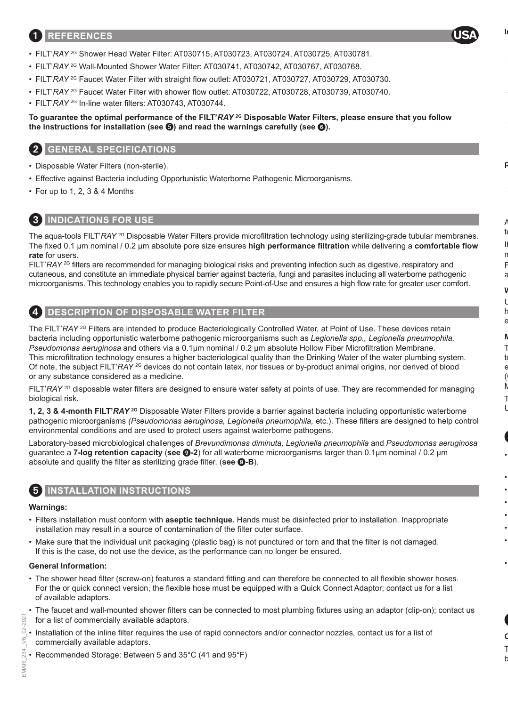### 1 **REFERENCES**

- FILT'*RAY* 2G Shower Head Water Filter: AT030715, AT030723, AT030724, AT030725, AT030781.
- FILT'*RAY* 2G Wall-Mounted Shower Water Filter: AT030741, AT030742, AT030767, AT030768.
- FILT'*RAY* 2G Faucet Water Filter with straight flow outlet: AT030721, AT030727, AT030729, AT030730.
- FILT'*RAY* 2G Faucet Water Filter with shower flow outlet: AT030722, AT030728, AT030739, AT030740.
- FILT'*RAY* 2G In-line water filters: AT030743, AT030744.

### **To guarantee the optimal performance of the FILT'***RAY* **2G Disposable Water Filters, please ensure that you follow the instructions for installation (see ) and read the warnings carefully (see** 6**).**

### 2 **GENERAL SPECIFICATIONS**

- Disposable Water Filters (non-sterile).
- Effective against Bacteria including Opportunistic Waterborne Pathogenic Microorganisms.
- For up to 1, 2, 3 & 4 Months

### 3 **INDICATIONS FOR USE**

The aqua-tools FILT'*RAY*<sup>2G</sup> Disposable Water Filters provide microfiltration technology using sterilizing-grade tubular membranes. The fixed 0.1 µm nominal / 0.2 μm absolute pore size ensures **high performance filtration** while delivering a **comfortable flow rate** for users.

FILT'*RAY* <sup>2G</sup> filters are recommended for managing biological risks and preventing infection such as digestive, respiratory and cutaneous, and constitute an immediate physical barrier against bacteria, fungi and parasites including all waterborne pathogenic microorganisms. This technology enables you to rapidly secure Point-of-Use and ensures a high flow rate for greater user comfort.



### 4 **DESCRIPTION OF DISPOSABLE WATER FILTER**

The FILT'RAY<sup>2G</sup> Filters are intended to produce Bacteriologically Controlled Water, at Point of Use. These devices retain bacteria including opportunistic waterborne pathogenic microorganisms such as *Legionella spp., Legionella pneumophila, Pseudomonas aeruginosa* and others via a 0.1µm nominal / 0.2 μm absolute Hollow Fiber Microfiltration Membrane. This microfiltration technology ensures a higher bacteriological quality than the Drinking Water of the water plumbing system. Of note, the subject FILT'*RAY* <sup>2G</sup> devices do not contain latex, nor tissues or by-product animal origins, nor derived of blood or any substance considered as a medicine.

FILT'*RAY* 2G disposable water filters are designed to ensure water safety at points of use. They are recommended for managing biological risk.

**1, 2, 3 & 4-month FILT'***RAY* **2G** Disposable Water Filters provide a barrier against bacteria including opportunistic waterborne pathogenic microorganisms *(Pseudomonas aeruginosa, Legionella pneumophila,* etc.). These filters are designed to help control environmental conditions and are used to protect users against waterborne pathogens.

Laboratory-based microbiological challenges of *Brevundimonas diminuta, Legionella pneumophila* and *Pseudomonas aeruginosa*  guarantee a **7-log retention capacity** (**see** 9**-2**) for all waterborne microorganisms larger than 0.1µm nominal / 0.2 μm absolute and qualify the filter as sterilizing grade filter. (**see** 9**-B**).

### **INSTALLATION INSTRUCTIONS**

#### **Warnings:**

- Filters installation must conform with **aseptic technique.** Hands must be disinfected prior to installation. Inappropriate installation may result in a source of contamination of the filter outer surface.
- Make sure that the individual unit packaging (plastic bag) is not punctured or torn and that the filter is not damaged. If this is the case, do not use the device, as the performance can no longer be ensured.

#### **General Information:**

- The shower head filter (screw-on) features a standard fitting and can therefore be connected to all flexible shower hoses. For the or quick connect version, the flexible hose must be equipped with a Quick Connect Adaptor; contact us for a list of available adaptors.
- The faucet and wall-mounted shower filters can be connected to most plumbing fixtures using an adaptor (clip-on); contact us for a list of commercially available adaptors.
- Installation of the inline filter requires the use of rapid connectors and/or connector nozzles, contact us for a list of commercially available adaptors.
- Recommended Storage: Between 5 and 35°C (41 and 95°F)

SOc è

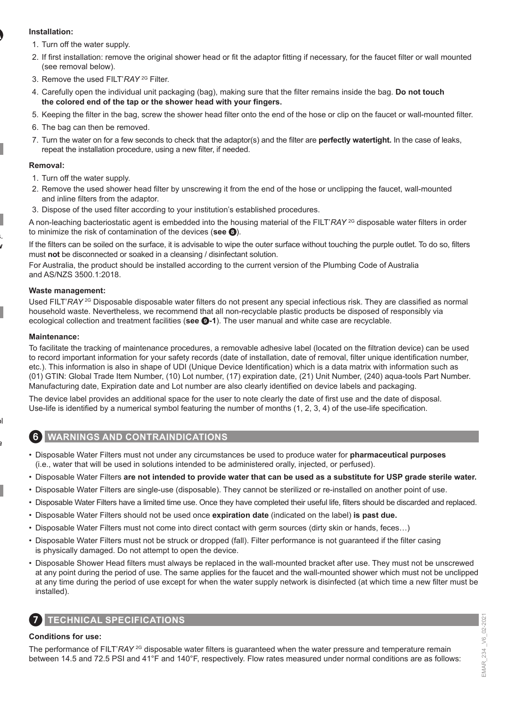### **Installation:**

- 1. Turn off the water supply.
- 2. If first installation: remove the original shower head or fit the adaptor fitting if necessary, for the faucet filter or wall mounted (see removal below).
- 3. Remove the used FILT'*RAY* 2G Filter.
- 4. Carefully open the individual unit packaging (bag), making sure that the filter remains inside the bag. **Do not touch the colored end of the tap or the shower head with your fingers.**
- 5. Keeping the filter in the bag, screw the shower head filter onto the end of the hose or clip on the faucet or wall-mounted filter.
- 6. The bag can then be removed.
- 7. Turn the water on for a few seconds to check that the adaptor(s) and the filter are **perfectly watertight.** In the case of leaks, repeat the installation procedure, using a new filter, if needed.

#### **Removal:**

- 1. Turn off the water supply.
- 2. Remove the used shower head filter by unscrewing it from the end of the hose or unclipping the faucet, wall-mounted and inline filters from the adaptor.
- 3. Dispose of the used filter according to your institution's established procedures.

A non-leaching bacteriostatic agent is embedded into the housing material of the FILT'*RAY* 2G disposable water filters in order to minimize the risk of contamination of the devices (**see** 8).

If the filters can be soiled on the surface, it is advisable to wipe the outer surface without touching the purple outlet. To do so, filters must **not** be disconnected or soaked in a cleansing / disinfectant solution.

For Australia, the product should be installed according to the current version of the Plumbing Code of Australia and AS/NZS 3500.1:2018.

#### **Waste management:**

Used FILT'*RAY*<sup>2G</sup> Disposable disposable water filters do not present any special infectious risk. They are classified as normal household waste. Nevertheless, we recommend that all non-recyclable plastic products be disposed of responsibly via ecological collection and treatment facilities (**see** 9**-1**). The user manual and white case are recyclable.

#### **Maintenance:**

To facilitate the tracking of maintenance procedures, a removable adhesive label (located on the filtration device) can be used to record important information for your safety records (date of installation, date of removal, filter unique identification number, etc.). This information is also in shape of UDI (Unique Device Identification) which is a data matrix with information such as (01) GTIN: Global Trade Item Number, (10) Lot number, (17) expiration date, (21) Unit Number, (240) aqua-tools Part Number. Manufacturing date, Expiration date and Lot number are also clearly identified on device labels and packaging.

The device label provides an additional space for the user to note clearly the date of first use and the date of disposal. Use-life is identified by a numerical symbol featuring the number of months (1, 2, 3, 4) of the use-life specification.

### 6 **WARNINGS AND CONTRAINDICATIONS**

- Disposable Water Filters must not under any circumstances be used to produce water for **pharmaceutical purposes** (i.e., water that will be used in solutions intended to be administered orally, injected, or perfused).
- Disposable Water Filters **are not intended to provide water that can be used as a substitute for USP grade sterile water.**
- Disposable Water Filters are single-use (disposable). They cannot be sterilized or re-installed on another point of use.
- Disposable Water Filters have a limited time use. Once they have completed their useful life, filters should be discarded and replaced.
- Disposable Water Filters should not be used once **expiration date** (indicated on the label) **is past due.**
- Disposable Water Filters must not come into direct contact with germ sources (dirty skin or hands, feces…)
- Disposable Water Filters must not be struck or dropped (fall). Filter performance is not guaranteed if the filter casing is physically damaged. Do not attempt to open the device.
- Disposable Shower Head filters must always be replaced in the wall-mounted bracket after use. They must not be unscrewed at any point during the period of use. The same applies for the faucet and the wall-mounted shower which must not be unclipped at any time during the period of use except for when the water supply network is disinfected (at which time a new filter must be installed).

## 7 **TECHNICAL SPECIFICATIONS**

#### **Conditions for use:**

The performance of FILT'*RAY* <sup>2G</sup> disposable water filters is guaranteed when the water pressure and temperature remain between 14.5 and 72.5 PSI and 41°F and 140°F, respectively. Flow rates measured under normal conditions are as follows: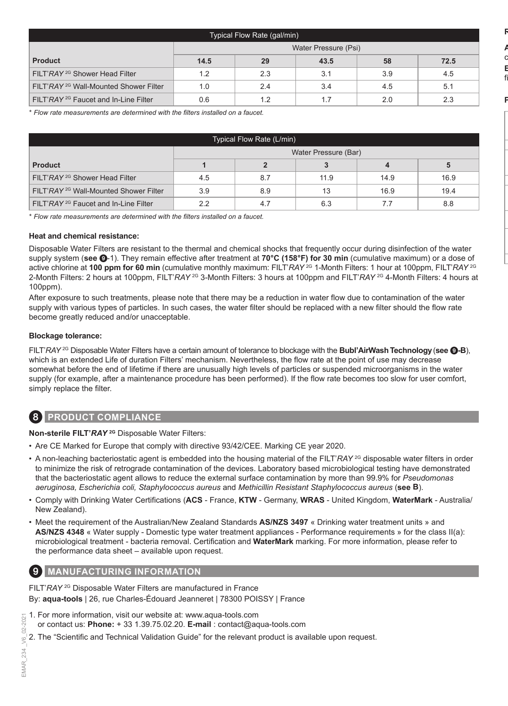| Typical Flow Rate (gal/min)                       |                      |     |      |     |      |
|---------------------------------------------------|----------------------|-----|------|-----|------|
|                                                   | Water Pressure (Psi) |     |      |     |      |
| <b>Product</b>                                    | 14.5                 | 29  | 43.5 | 58  | 72.5 |
| FILT'RAY <sup>2G</sup> Shower Head Filter         | 1.2                  | 2.3 | 3.1  | 3.9 | 4.5  |
| FILT'RAY <sup>2G</sup> Wall-Mounted Shower Filter | 1.0                  | 2.4 | 3.4  | 4.5 | 5.1  |
| FILT'RAY <sup>2G</sup> Faucet and In-Line Filter  | 0.6                  | 1.2 | 1.7  | 2.0 | 2.3  |

\* *Flow rate measurements are determined with the filters installed on a faucet.*

| Typical Flow Rate (L/min)                         |                      |     |      |      |      |  |
|---------------------------------------------------|----------------------|-----|------|------|------|--|
|                                                   | Water Pressure (Bar) |     |      |      |      |  |
| <b>Product</b>                                    |                      |     |      |      | 5    |  |
| FILT'RAY <sup>2G</sup> Shower Head Filter         | 4.5                  | 8.7 | 11.9 | 14.9 | 16.9 |  |
| FILT'RAY <sup>2G</sup> Wall-Mounted Shower Filter | 3.9                  | 8.9 | 13   | 16.9 | 19.4 |  |
| FILT'RAY <sup>2G</sup> Faucet and In-Line Filter  | 22                   | 4.7 | 6.3  |      | 8.8  |  |

\* *Flow rate measurements are determined with the filters installed on a faucet.*

#### **Heat and chemical resistance:**

Disposable Water Filters are resistant to the thermal and chemical shocks that frequently occur during disinfection of the water supply system (**see** 9-1). They remain effective after treatment at **70°C (158°F) for 30 min** (cumulative maximum) or a dose of active chlorine at **100 ppm for 60 min** (cumulative monthly maximum: FILT'*RAY* 2G 1-Month Filters: 1 hour at 100ppm, FILT'*RAY* 2G 2-Month Filters: 2 hours at 100ppm, FILT'*RAY* 2G 3-Month Filters: 3 hours at 100ppm and FILT'*RAY* 2G 4-Month Filters: 4 hours at 100ppm).

After exposure to such treatments, please note that there may be a reduction in water flow due to contamination of the water supply with various types of particles. In such cases, the water filter should be replaced with a new filter should the flow rate become greatly reduced and/or unacceptable.

#### **Blockage tolerance:**

FILT'*RAY* 2G Disposable Water Filters have a certain amount of tolerance to blockage with the **Bubl'AirWashTechnology**(**see** 9**-B**), which is an extended Life of duration Filters' mechanism. Nevertheless, the flow rate at the point of use may decrease somewhat before the end of lifetime if there are unusually high levels of particles or suspended microorganisms in the water supply (for example, after a maintenance procedure has been performed). If the flow rate becomes too slow for user comfort, simply replace the filter.

### 8 **PRODUCT COMPLIANCE**

**Non-sterile FILT'***RAY* **2G** Disposable Water Filters:

- Are CE Marked for Europe that comply with directive 93/42/CEE. Marking CE year 2020.
- A non-leaching bacteriostatic agent is embedded into the housing material of the FILT'*RAY* <sup>2G</sup> disposable water filters in order to minimize the risk of retrograde contamination of the devices. Laboratory based microbiological testing have demonstrated that the bacteriostatic agent allows to reduce the external surface contamination by more than 99.9% for *Pseudomonas aeruginosa, Escherichia coli, Staphylococcus aureus* and *Methicillin Resistant Staphylococcus aureus* (**see B**).
- Comply with Drinking Water Certifications (**ACS**  France, **KTW**  Germany, **WRAS**  United Kingdom, **WaterMark**  Australia/ New Zealand).
- Meet the requirement of the Australian/New Zealand Standards **AS/NZS 3497** « Drinking water treatment units » and **AS/NZS 4348** « Water supply - Domestic type water treatment appliances - Performance requirements » for the class II(a): microbiological treatment - bacteria removal. Certification and **WaterMark** marking. For more information, please refer to the performance data sheet – available upon request.

### **MANUFACTURING INFORMATION**

FILT'*RAY* 2G Disposable Water Filters are manufactured in France By: **aqua-tools** | 26, rue Charles-Édouard Jeanneret | 78300 POISSY | France

- 1. For more information, visit our website at: www.aqua-tools.com or contact us: **Phone:** + 33 1.39.75.02.20. **E-mail** : contact@aqua-tools.com
- 2. The "Scientific and Technical Validation Guide" for the relevant product is available upon request.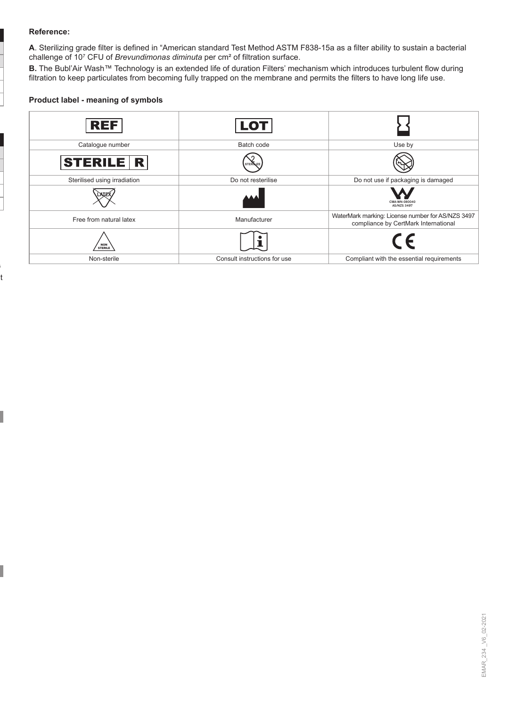#### **Reference:**

**A**. Sterilizing grade filter is defined in "American standard Test Method ASTM F838-15a as a filter ability to sustain a bacterial challenge of 10<sup>7</sup> CFU of *Brevundimonas diminuta* per cm² of filtration surface.

**B.** The Bubl'Air Wash™ Technology is an extended life of duration Filters' mechanism which introduces turbulent flow during filtration to keep particulates from becoming fully trapped on the membrane and permits the filters to have long life use.

### **Product label - meaning of symbols**

| <b>REF</b>                   | LOT                          |                                                                                           |
|------------------------------|------------------------------|-------------------------------------------------------------------------------------------|
| Catalogue number             | Batch code                   | Use by                                                                                    |
| <b>STERILE R</b>             | <b>STER</b>                  |                                                                                           |
| Sterilised using irradiation | Do not resterilise           | Do not use if packaging is damaged                                                        |
| AIE.                         |                              | CMA-WN-080040<br><b>AS/NZS 3497</b>                                                       |
| Free from natural latex      | Manufacturer                 | WaterMark marking: License number for AS/NZS 3497<br>compliance by CertMark International |
| <b>NON</b><br><b>STERILE</b> |                              | $\epsilon$                                                                                |
| Non-sterile                  | Consult instructions for use | Compliant with the essential requirements                                                 |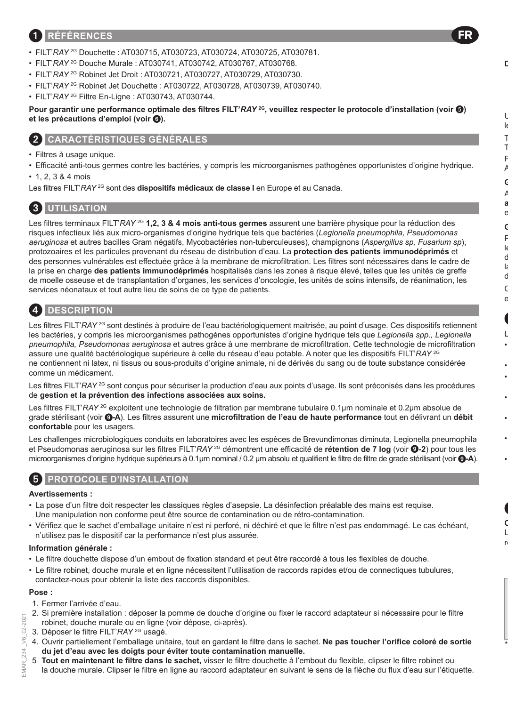## 1 **RÉFÉRENCES**

- FILT'*RAY* 2G Douchette : AT030715, AT030723, AT030724, AT030725, AT030781.
- FILT'*RAY* 2G Douche Murale : AT030741, AT030742, AT030767, AT030768.
- FILT'*RAY* 2G Robinet Jet Droit : AT030721, AT030727, AT030729, AT030730.
- FILT'*RAY* 2G Robinet Jet Douchette : AT030722, AT030728, AT030739, AT030740.
- FILT'*RAY* 2G Filtre En-Ligne : AT030743, AT030744.

**Pour garantir une performance optimale des filtres FILT'***RAY* **2G, veuillez respecter le protocole d'installation (voir ) et les précautions d'emploi (voir** 6**).**

FR

### 2 **CARACTÉRISTIQUES GÉNÉRALES**

- Filtres à usage unique.
- Efficacité anti-tous germes contre les bactéries, y compris les microorganismes pathogènes opportunistes d'origine hydrique.
- 1, 2, 3 & 4 mois

Les filtres FILT'RAY<sup>2G</sup> sont des dispositifs médicaux de classe I en Europe et au Canada.

### 3 **UTILISATION**

Les filtres terminaux FILT'*RAY* 2G **1,2, 3 & 4 mois anti-tous germes** assurent une barrière physique pour la réduction des risques infectieux liés aux micro-organismes d'origine hydrique tels que bactéries (*Legionella pneumophila, Pseudomonas aeruginosa* et autres bacilles Gram négatifs, Mycobactéries non-tuberculeuses), champignons (*Aspergillus sp, Fusarium sp*), protozoaires et les particules provenant du réseau de distribution d'eau. La **protection des patients immunodéprimés** et des personnes vulnérables est effectuée grâce à la membrane de microfiltration. Les filtres sont nécessaires dans le cadre de la prise en charge **des patients immunodéprimés** hospitalisés dans les zones à risque élevé, telles que les unités de greffe de moelle osseuse et de transplantation d'organes, les services d'oncologie, les unités de soins intensifs, de réanimation, les services néonataux et tout autre lieu de soins de ce type de patients.

### 4 **DESCRIPTION**

Les filtres FILT'*RAY*<sup>2G</sup> sont destinés à produire de l'eau bactériologiquement maitrisée, au point d'usage. Ces dispositifs retiennent les bactéries, y compris les microorganismes pathogènes opportunistes d'origine hydrique tels que *Legionella spp., Legionella pneumophila, Pseudomonas aeruginosa* et autres grâce à une membrane de microfiltration. Cette technologie de microfiltration assure une qualité bactériologique supérieure à celle du réseau d'eau potable. A noter que les dispositifs FILT'*RAY* 2G ne contiennent ni latex, ni tissus ou sous-produits d'origine animale, ni de dérivés du sang ou de toute substance considérée comme un médicament.

Les filtres FILT'*RAY* <sup>2G</sup> sont conçus pour sécuriser la production d'eau aux points d'usage. Ils sont préconisés dans les procédures de **gestion et la prévention des infections associées aux soins.**

Les filtres FILT'*RAY* 2G exploitent une technologie de filtration par membrane tubulaire 0.1µm nominale et 0.2µm absolue de grade stérilisant (voir 9**-A**). Les filtres assurent une **microfiltration de l'eau de haute performance** tout en délivrant un **débit confortable** pour les usagers.

Les challenges microbiologiques conduits en laboratoires avec les espèces de Brevundimonas diminuta, Legionella pneumophila et Pseudomonas aeruginosa sur les filtres FILT'*RAY* 2G démontrent une efficacité de **rétention de 7 log** (voir 9**-2**) pour tous les microorganismes d'origine hydrique supérieurs à 0.1µm nominal / 0.2 μm absolu et qualifient le filtre de filtre de grade stérilisant (voir 9**-A**).

### 5 **PROTOCOLE D'INSTALLATION**

#### **Avertissements :**

- La pose d'un filtre doit respecter les classiques règles d'asepsie. La désinfection préalable des mains est requise. Une manipulation non conforme peut être source de contamination ou de rétro-contamination.
- Vérifiez que le sachet d'emballage unitaire n'est ni perforé, ni déchiré et que le filtre n'est pas endommagé. Le cas échéant, n'utilisez pas le dispositif car la performance n'est plus assurée.

#### **Information générale :**

- Le filtre douchette dispose d'un embout de fixation standard et peut être raccordé à tous les flexibles de douche.
- Le filtre robinet, douche murale et en ligne nécessitent l'utilisation de raccords rapides et/ou de connectiques tubulures, contactez-nous pour obtenir la liste des raccords disponibles.

#### **Pose :**

 $2021$  $02 - 2$ S.

EMAR<sub>2</sub>

- 1. Fermer l'arrivée d'eau.
- EMAR\_234 \_V6\_02-2021 2. Si première installation : déposer la pomme de douche d'origine ou fixer le raccord adaptateur si nécessaire pour le filtre robinet, douche murale ou en ligne (voir dépose, ci-après).
	- 3. Déposer le filtre FILT'*RAY* 2G usagé.
	- 4. Ouvrir partiellement l'emballage unitaire, tout en gardant le filtre dans le sachet. **Ne pas toucher l'orifice coloré de sortie du jet d'eau avec les doigts pour éviter toute contamination manuelle.**
	- 5. **Tout en maintenant le filtre dans le sachet,** visser le filtre douchette à l'embout du flexible, clipser le filtre robinet ou la douche murale. Clipser le filtre en ligne au raccord adaptateur en suivant le sens de la flèche du flux d'eau sur l'étiquette.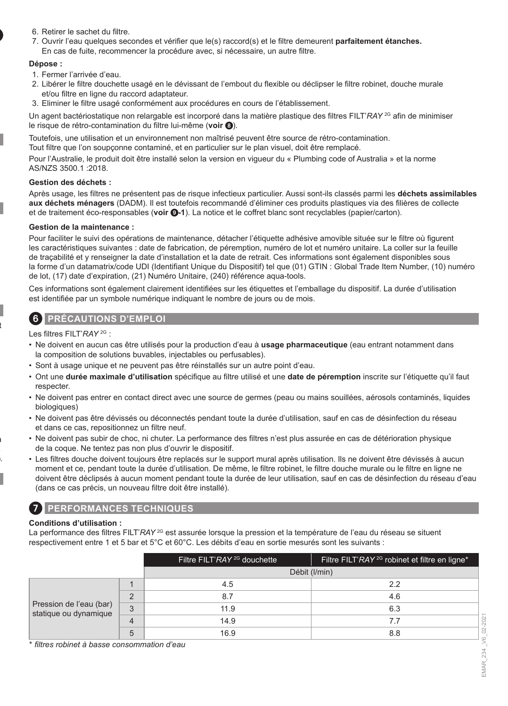- 6. Retirer le sachet du filtre.
- 7. Ouvrir l'eau quelques secondes et vérifier que le(s) raccord(s) et le filtre demeurent **parfaitement étanches.** En cas de fuite, recommencer la procédure avec, si nécessaire, un autre filtre.

#### **Dépose :**

- 1. Fermer l'arrivée d'eau.
- 2. Libérer le filtre douchette usagé en le dévissant de l'embout du flexible ou déclipser le filtre robinet, douche murale et/ou filtre en ligne du raccord adaptateur.
- 3. Eliminer le filtre usagé conformément aux procédures en cours de l'établissement.

Un agent bactériostatique non relargable est incorporé dans la matière plastique des filtres FILT'*RAY* 2G afin de minimiser le risque de rétro-contamination du filtre lui-même (**voir** 8).

Toutefois, une utilisation et un environnement non maîtrisé peuvent être source de rétro-contamination.

Tout filtre que l'on soupçonne contaminé, et en particulier sur le plan visuel, doit être remplacé.

Pour l'Australie, le produit doit être installé selon la version en vigueur du « Plumbing code of Australia » et la norme AS/NZS 3500.1 :2018.

#### **Gestion des déchets :**

Après usage, les filtres ne présentent pas de risque infectieux particulier. Aussi sont-ils classés parmi les **déchets assimilables aux déchets ménagers** (DADM). Il est toutefois recommandé d'éliminer ces produits plastiques via des filières de collecte et de traitement éco-responsables (**voir** 9**-1**). La notice et le coffret blanc sont recyclables (papier/carton).

#### **Gestion de la maintenance :**

Pour faciliter le suivi des opérations de maintenance, détacher l'étiquette adhésive amovible située sur le filtre où figurent les caractéristiques suivantes : date de fabrication, de péremption, numéro de lot et numéro unitaire. La coller sur la feuille de traçabilité et y renseigner la date d'installation et la date de retrait. Ces informations sont également disponibles sous la forme d'un datamatrix/code UDI (Identifiant Unique du Dispositif) tel que (01) GTIN : Global Trade Item Number, (10) numéro de lot, (17) date d'expiration, (21) Numéro Unitaire, (240) référence aqua-tools.

Ces informations sont également clairement identifiées sur les étiquettes et l'emballage du dispositif. La durée d'utilisation est identifiée par un symbole numérique indiquant le nombre de jours ou de mois.

### 6 **PRÉCAUTIONS D'EMPLOI**

Les filtres FILT'*RAY* 2G :

- Ne doivent en aucun cas être utilisés pour la production d'eau à **usage pharmaceutique** (eau entrant notamment dans la composition de solutions buvables, injectables ou perfusables).
- Sont à usage unique et ne peuvent pas être réinstallés sur un autre point d'eau.
- Ont une **durée maximale d'utilisation** spécifique au filtre utilisé et une **date de péremption** inscrite sur l'étiquette qu'il faut respecter.
- Ne doivent pas entrer en contact direct avec une source de germes (peau ou mains souillées, aérosols contaminés, liquides biologiques)
- Ne doivent pas être dévissés ou déconnectés pendant toute la durée d'utilisation, sauf en cas de désinfection du réseau et dans ce cas, repositionnez un filtre neuf.
- Ne doivent pas subir de choc, ni chuter. La performance des filtres n'est plus assurée en cas de détérioration physique de la coque. Ne tentez pas non plus d'ouvrir le dispositif.
- Les filtres douche doivent toujours être replacés sur le support mural après utilisation. Ils ne doivent être dévissés à aucun moment et ce, pendant toute la durée d'utilisation. De même, le filtre robinet, le filtre douche murale ou le filtre en ligne ne doivent être déclipsés à aucun moment pendant toute la durée de leur utilisation, sauf en cas de désinfection du réseau d'eau (dans ce cas précis, un nouveau filtre doit être installé).

### 7 **PERFORMANCES TECHNIQUES**

#### **Conditions d'utilisation :**

La performance des filtres FILT'*RAY* <sup>2G</sup> est assurée lorsque la pression et la température de l'eau du réseau se situent respectivement entre 1 et 5 bar et 5°C et 60°C. Les débits d'eau en sortie mesurés sont les suivants :

|                                                                             | Filtre FILT'RAY <sup>2G</sup> douchette | Filtre FILT'RAY <sup>2G</sup> robinet et filtre en ligne* |
|-----------------------------------------------------------------------------|-----------------------------------------|-----------------------------------------------------------|
|                                                                             |                                         | Débit (I/min)                                             |
| $\Omega$<br>Pression de l'eau (bar)<br>3<br>statique ou dynamique<br>4<br>5 | 4.5                                     | 22                                                        |
|                                                                             | 8.7                                     | 4.6                                                       |
|                                                                             | 11.9                                    | 6.3                                                       |
|                                                                             | 14.9                                    | 7.7                                                       |
|                                                                             | 16.9                                    | 8.8                                                       |

\* *filtres robinet à basse consommation d'eau*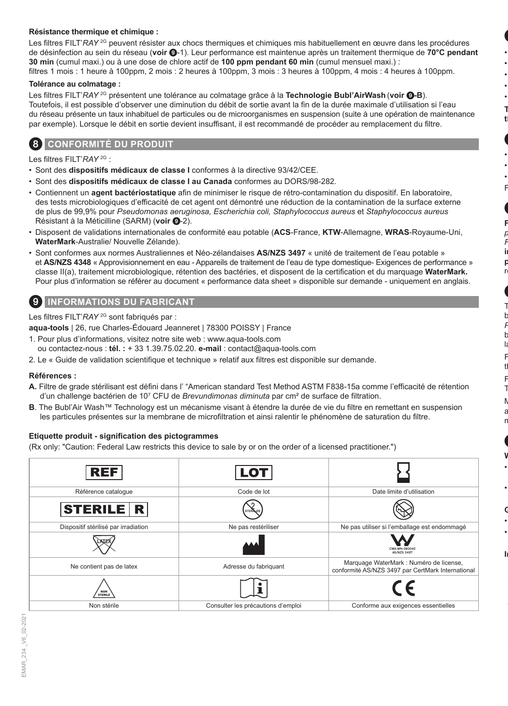#### **Résistance thermique et chimique :**

Les filtres FILT'*RAY* <sup>2G</sup> peuvent résister aux chocs thermiques et chimiques mis habituellement en œuvre dans les procédures de désinfection au sein du réseau (**voir** 9-1). Leur performance est maintenue après un traitement thermique de **70°C pendant 30 min** (cumul maxi.) ou à une dose de chlore actif de **100 ppm pendant 60 min** (cumul mensuel maxi.) : filtres 1 mois : 1 heure à 100ppm, 2 mois : 2 heures à 100ppm, 3 mois : 3 heures à 100ppm, 4 mois : 4 heures à 100ppm.

#### **Tolérance au colmatage :**

Les filtres FILT'*RAY* 2G présentent une tolérance au colmatage grâce à la **Technologie Bubl'AirWash** (**voir** 9**-B**). Toutefois, il est possible d'observer une diminution du débit de sortie avant la fin de la durée maximale d'utilisation si l'eau du réseau présente un taux inhabituel de particules ou de microorganismes en suspension (suite à une opération de maintenance par exemple). Lorsque le débit en sortie devient insuffisant, il est recommandé de procéder au remplacement du filtre.

### 8 **CONFORMITÉ DU PRODUIT**

Les filtres FILT'*RAY* 2G :

- Sont des **dispositifs médicaux de classe I** conformes à la directive 93/42/CEE.
- Sont des **dispositifs médicaux de classe I au Canada** conformes au DORS/98-282.
- Contiennent un **agent bactériostatique** afin de minimiser le risque de rétro-contamination du dispositif. En laboratoire, des tests microbiologiques d'efficacité de cet agent ont démontré une réduction de la contamination de la surface externe de plus de 99,9% pour *Pseudomonas aeruginosa, Escherichia coli, Staphylococcus aureus* et *Staphylococcus aureus* Résistant à la Méticilline (SARM) (voir **0**-2).
- Disposent de validations internationales de conformité eau potable (**ACS**-France, **KTW**-Allemagne, **WRAS**-Royaume-Uni, **WaterMark**-Australie/ Nouvelle Zélande).
- Sont conformes aux normes Australiennes et Néo-zélandaises **AS/NZS 3497** « unité de traitement de l'eau potable » et **AS/NZS 4348** « Approvisionnement en eau - Appareils de traitement de l'eau de type domestique- Exigences de performance » classe II(a), traitement microbiologique, rétention des bactéries, et disposent de la certification et du marquage **WaterMark.** Pour plus d'information se référer au document « performance data sheet » disponible sur demande - uniquement en anglais.

### 9 **INFORMATIONS DU FABRICANT**

Les filtres FILT'*RAY* 2G sont fabriqués par :

**aqua-tools** | 26, rue Charles-Édouard Jeanneret | 78300 POISSY | France

- 1. Pour plus d'informations, visitez notre site web : www.aqua-tools.com ou contactez-nous : **tél. :** + 33 1.39.75.02.20. **e-mail** : contact@aqua-tools.com
- 2. Le « Guide de validation scientifique et technique » relatif aux filtres est disponible sur demande.

### **Références :**

- **A.** Filtre de grade stérilisant est défini dans l' "American standard Test Method ASTM F838-15a comme l'efficacité de rétention d'un challenge bactérien de 10<sup>7</sup> CFU de *Brevundimonas diminuta* par cm² de surface de filtration.
- **B**. The Bubl'Air Wash™ Technology est un mécanisme visant à étendre la durée de vie du filtre en remettant en suspension les particules présentes sur la membrane de microfiltration et ainsi ralentir le phénomène de saturation du filtre.

### **Etiquette produit - signification des pictogrammes**

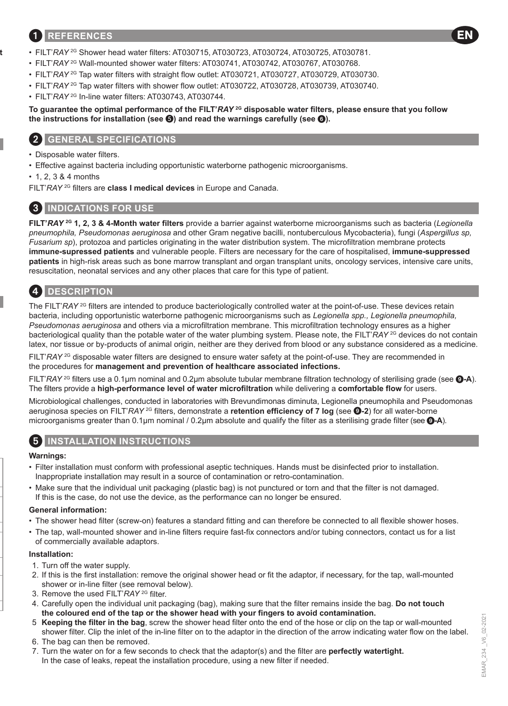### 1 **REFERENCES**

- FILT'*RAY* 2G Shower head water filters: AT030715, AT030723, AT030724, AT030725, AT030781.
- FILT'*RAY* 2G Wall-mounted shower water filters: AT030741, AT030742, AT030767, AT030768.
- FILT'RAY<sup>2G</sup> Tap water filters with straight flow outlet: AT030721, AT030727, AT030729, AT030730.
- FILT'*RAY* 2G Tap water filters with shower flow outlet: AT030722, AT030728, AT030739, AT030740.
- FILT'*RAY* 2G In-line water filters: AT030743, AT030744.

### **To guarantee the optimal performance of the FILT'***RAY* **2G disposable water filters, please ensure that you follow the instructions for installation (see ) and read the warnings carefully (see** 6**).**

### 2 **GENERAL SPECIFICATIONS**

- Disposable water filters.
- Effective against bacteria including opportunistic waterborne pathogenic microorganisms.
- 1, 2, 3 & 4 months

FILT'*RAY* 2G filters are **class I medical devices** in Europe and Canada.

### 3 **INDICATIONS FOR USE**

**FILT'***RAY* **2G 1, 2, 3 & 4-Month water filters** provide a barrier against waterborne microorganisms such as bacteria (*Legionella pneumophila, Pseudomonas aeruginosa* and other Gram negative bacilli, nontuberculous Mycobacteria), fungi (*Aspergillus sp, Fusarium sp*), protozoa and particles originating in the water distribution system. The microfiltration membrane protects **immune-supressed patients** and vulnerable people. Filters are necessary for the care of hospitalised, **immune-suppressed patients** in high-risk areas such as bone marrow transplant and organ transplant units, oncology services, intensive care units, resuscitation, neonatal services and any other places that care for this type of patient.

# 4 **DESCRIPTION**

The FILT'*RAY* <sup>2G</sup> filters are intended to produce bacteriologically controlled water at the point-of-use. These devices retain bacteria, including opportunistic waterborne pathogenic microorganisms such as *Legionella spp., Legionella pneumophila, Pseudomonas aeruginosa* and others via a microfiltration membrane. This microfiltration technology ensures as a higher bacteriological quality than the potable water of the water plumbing system. Please note, the FILT'*RAY* <sup>2G</sup> devices do not contain latex, nor tissue or by-products of animal origin, neither are they derived from blood or any substance considered as a medicine.

FILT'*RAY* <sup>2G</sup> disposable water filters are designed to ensure water safety at the point-of-use. They are recommended in the procedures for **management and prevention of healthcare associated infections.**

FILT'*RAY* 2G filters use a 0.1μm nominal and 0.2μm absolute tubular membrane filtration technology of sterilising grade (see 9**-A**). The filters provide a **high-performance level of water microfiltration** while delivering a **comfortable flow** for users.

Microbiological challenges, conducted in laboratories with Brevundimonas diminuta, Legionella pneumophila and Pseudomonas aeruginosa species on FILT'*RAY* 2G filters, demonstrate a **retention efficiency of 7 log** (see 9**-2**) for all water-borne microorganisms greater than 0.1μm nominal / 0.2μm absolute and qualify the filter as a sterilising grade filter (see 9**-A**).

### 5 **INSTALLATION INSTRUCTIONS**

### **Warnings:**

- Filter installation must conform with professional aseptic techniques. Hands must be disinfected prior to installation. Inappropriate installation may result in a source of contamination or retro-contamination.
- Make sure that the individual unit packaging (plastic bag) is not punctured or torn and that the filter is not damaged. If this is the case, do not use the device, as the performance can no longer be ensured.

#### **General information:**

- The shower head filter (screw-on) features a standard fitting and can therefore be connected to all flexible shower hoses.
- The tap, wall-mounted shower and in-line filters require fast-fix connectors and/or tubing connectors, contact us for a list of commercially available adaptors.

#### **Installation:**

- 1. Turn off the water supply.
- 2. If this is the first installation: remove the original shower head or fit the adaptor, if necessary, for the tap, wall-mounted shower or in-line filter (see removal below).
- 3. Remove the used FILT'*RAY* 2G filter.
- 4. Carefully open the individual unit packaging (bag), making sure that the filter remains inside the bag. **Do not touch the coloured end of the tap or the shower head with your fingers to avoid contamination.**
- 5. **Keeping the filter in the bag**, screw the shower head filter onto the end of the hose or clip on the tap or wall-mounted shower filter. Clip the inlet of the in-line filter on to the adaptor in the direction of the arrow indicating water flow on the label.
- 6. The bag can then be removed.
- 7. Turn the water on for a few seconds to check that the adaptor(s) and the filter are **perfectly watertight.** In the case of leaks, repeat the installation procedure, using a new filter if needed.

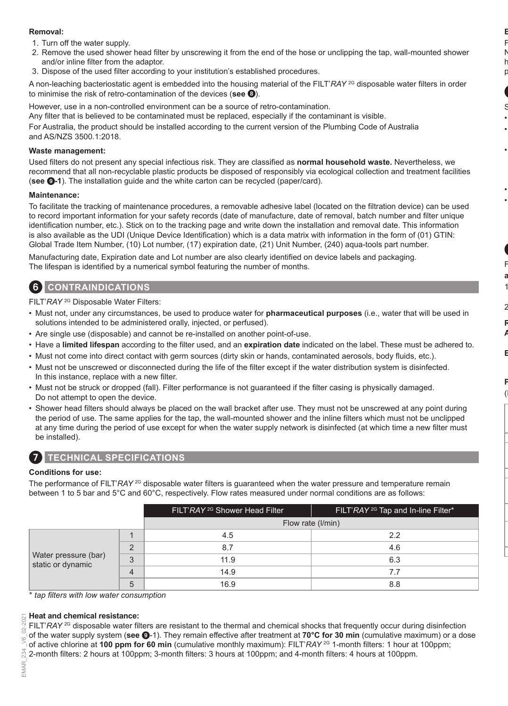### **Removal:**

- 1. Turn off the water supply.
- 2. Remove the used shower head filter by unscrewing it from the end of the hose or unclipping the tap, wall-mounted shower and/or inline filter from the adaptor.
- 3. Dispose of the used filter according to your institution's established procedures.

A non-leaching bacteriostatic agent is embedded into the housing material of the FILT'*RAY* <sup>2G</sup> disposable water filters in order to minimise the risk of retro-contamination of the devices (**see** 8).

However, use in a non-controlled environment can be a source of retro-contamination.

Any filter that is believed to be contaminated must be replaced, especially if the contaminant is visible. For Australia, the product should be installed according to the current version of the Plumbing Code of Australia

and AS/NZS 3500.1:2018.

### **Waste management:**

Used filters do not present any special infectious risk. They are classified as **normal household waste.** Nevertheless, we recommend that all non-recyclable plastic products be disposed of responsibly via ecological collection and treatment facilities (**see** 9**-1**). The installation guide and the white carton can be recycled (paper/card).

### **Maintenance:**

To facilitate the tracking of maintenance procedures, a removable adhesive label (located on the filtration device) can be used to record important information for your safety records (date of manufacture, date of removal, batch number and filter unique identification number, etc.). Stick on to the tracking page and write down the installation and removal date. This information is also available as the UDI (Unique Device Identification) which is a data matrix with information in the form of (01) GTIN: Global Trade Item Number, (10) Lot number, (17) expiration date, (21) Unit Number, (240) aqua-tools part number.

Manufacturing date, Expiration date and Lot number are also clearly identified on device labels and packaging. The lifespan is identified by a numerical symbol featuring the number of months.

### 6 **CONTRAINDICATIONS**

FILT'*RAY* 2G Disposable Water Filters:

- Must not, under any circumstances, be used to produce water for **pharmaceutical purposes** (i.e., water that will be used in solutions intended to be administered orally, injected, or perfused).
- Are single use (disposable) and cannot be re-installed on another point-of-use.
- Have a **limited lifespan** according to the filter used, and an **expiration date** indicated on the label. These must be adhered to.
- Must not come into direct contact with germ sources (dirty skin or hands, contaminated aerosols, body fluids, etc.).
- Must not be unscrewed or disconnected during the life of the filter except if the water distribution system is disinfected. In this instance, replace with a new filter.
- Must not be struck or dropped (fall). Filter performance is not guaranteed if the filter casing is physically damaged. Do not attempt to open the device.
- Shower head filters should always be placed on the wall bracket after use. They must not be unscrewed at any point during the period of use. The same applies for the tap, the wall-mounted shower and the inline filters which must not be unclipped at any time during the period of use except for when the water supply network is disinfected (at which time a new filter must be installed).



### 7 **TECHNICAL SPECIFICATIONS**

#### **Conditions for use:**

The performance of FILT'*RAY* <sup>2G</sup> disposable water filters is quaranteed when the water pressure and temperature remain between 1 to 5 bar and 5°C and 60°C, respectively. Flow rates measured under normal conditions are as follows:

|                                                                 |     | FILT'RAY <sup>2G</sup> Shower Head Filter | FILT'RAY <sup>2G</sup> Tap and In-line Filter* |
|-----------------------------------------------------------------|-----|-------------------------------------------|------------------------------------------------|
|                                                                 |     |                                           | Flow rate (I/min)                              |
| $\Omega$<br>Water pressure (bar)<br>3<br>static or dynamic<br>5 | 4.5 | 2.2                                       |                                                |
|                                                                 |     | 8.7                                       | 4.6                                            |
|                                                                 |     | 11.9                                      | 6.3                                            |
|                                                                 |     | 14.9                                      | 7.7                                            |
|                                                                 |     | 16.9                                      | 8.8                                            |

\* *tap filters with low water consumption*

#### **Heat and chemical resistance:**

FILT'*RAY* <sup>2G</sup> disposable water filters are resistant to the thermal and chemical shocks that frequently occur during disinfection of the water supply system (**see** 9-1). They remain effective after treatment at **70°C for 30 min** (cumulative maximum) or a dose of active chlorine at **100 ppm for 60 min** (cumulative monthly maximum): FILT'*RAY* 2G 1-month filters: 1 hour at 100ppm; 2-month filters: 2 hours at 100ppm; 3-month filters: 3 hours at 100ppm; and 4-month filters: 4 hours at 100ppm.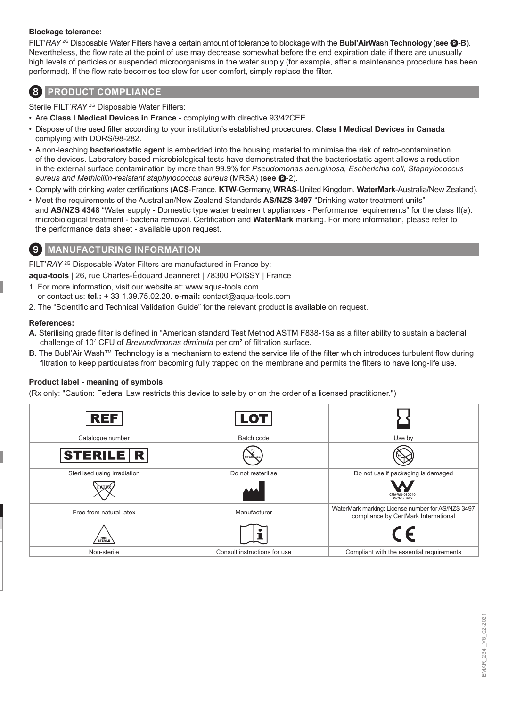#### **Blockage tolerance:**

FILT'*RAY* 2G Disposable Water Filters have a certain amount of tolerance to blockage with the **Bubl'AirWashTechnology**(**see** 9**-B**). Nevertheless, the flow rate at the point of use may decrease somewhat before the end expiration date if there are unusually high levels of particles or suspended microorganisms in the water supply (for example, after a maintenance procedure has been performed). If the flow rate becomes too slow for user comfort, simply replace the filter.

### 8 **PRODUCT COMPLIANCE**

Sterile FILT'RAY<sup>2G</sup> Disposable Water Filters:

- Are **Class I Medical Devices in France** complying with directive 93/42CEE.
- Dispose of the used filter according to your institution's established procedures. **Class I Medical Devices in Canada** complying with DORS/98-282.
- A non-leaching **bacteriostatic agent** is embedded into the housing material to minimise the risk of retro-contamination of the devices. Laboratory based microbiological tests have demonstrated that the bacteriostatic agent allows a reduction in the external surface contamination by more than 99.9% for *Pseudomonas aeruginosa, Escherichia coli, Staphylococcus aureus and Methicillin-resistant staphylococcus aureus* (MRSA) (**see** 9-2).
- Comply with drinking water certifications (**ACS**-France, **KTW**-Germany, **WRAS**-United Kingdom, **WaterMark**-Australia/New Zealand).
- Meet the requirements of the Australian/New Zealand Standards **AS/NZS 3497** "Drinking water treatment units" and **AS/NZS 4348** "Water supply - Domestic type water treatment appliances - Performance requirements" for the class II(a): microbiological treatment - bacteria removal. Certification and **WaterMark** marking. For more information, please refer to the performance data sheet - available upon request.

### 9 **MANUFACTURING INFORMATION**

FILT'RAY<sup>2G</sup> Disposable Water Filters are manufactured in France by:

**aqua-tools** | 26, rue Charles-Édouard Jeanneret | 78300 POISSY | France

- 1. For more information, visit our website at: www.aqua-tools.com or contact us: **tel.:** + 33 1.39.75.02.20. **e-mail:** contact@aqua-tools.com
- 2. The "Scientific and Technical Validation Guide" for the relevant product is available on request.

### **References:**

- **A.** Sterilising grade filter is defined in "American standard Test Method ASTM F838-15a as a filter ability to sustain a bacterial challenge of 10<sup>7</sup> CFU of *Brevundimonas diminuta* per cm² of filtration surface.
- **B**. The Bubl'Air Wash™ Technology is a mechanism to extend the service life of the filter which introduces turbulent flow during filtration to keep particulates from becoming fully trapped on the membrane and permits the filters to have long-life use.

### **Product label - meaning of symbols**

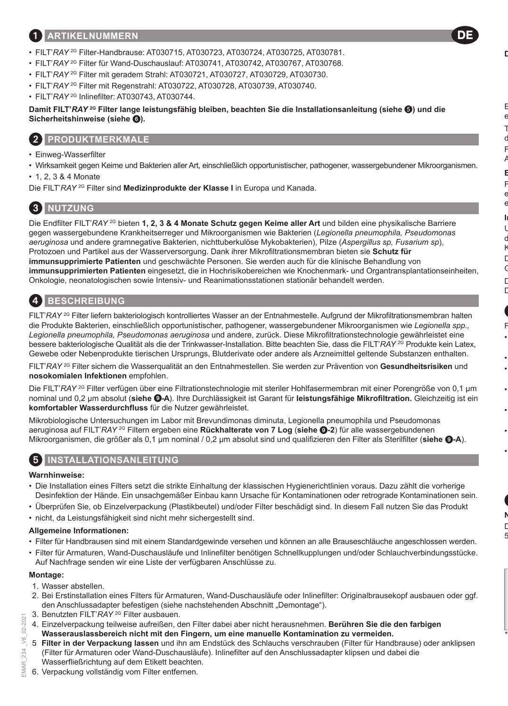### 1 **ARTIKELNUMMERN**

- FILT'*RAY* 2G Filter-Handbrause: AT030715, AT030723, AT030724, AT030725, AT030781.
- FILT'*RAY* 2G Filter für Wand-Duschauslauf: AT030741, AT030742, AT030767, AT030768.
- FILT'RAY<sup>2G</sup> Filter mit geradem Strahl: AT030721, AT030727, AT030729, AT030730.
- FILT'*RAY* 2G Filter mit Regenstrahl: AT030722, AT030728, AT030739, AT030740.
- FILT'*RAY* 2G Inlinefilter: AT030743, AT030744.

**Damit FILT'***RAY* **2G Filter lange leistungsfähig bleiben, beachten Sie die Installationsanleitung (siehe ) und die Sicherheitshinweise (siehe** 6**).**

### 2 **PRODUKTMERKMALE**

- Einweg-Wasserfilter
- Wirksamkeit gegen Keime und Bakterien aller Art, einschließlich opportunistischer, pathogener, wassergebundener Mikroorganismen.

DE

• 1, 2, 3 & 4 Monate

Die FILT'*RAY* 2G Filter sind **Medizinprodukte der Klasse I** in Europa und Kanada.

### 3 **NUTZUNG**

Die Endfilter FILT'*RAY* 2G bieten **1, 2, 3 & 4 Monate Schutz gegen Keime aller Art** und bilden eine physikalische Barriere gegen wassergebundene Krankheitserreger und Mikroorganismen wie Bakterien (*Legionella pneumophila, Pseudomonas aeruginosa* und andere gramnegative Bakterien, nichttuberkulöse Mykobakterien), Pilze (*Aspergillus sp, Fusarium sp*), Protozoen und Partikel aus der Wasserversorgung. Dank ihrer Mikrofiltrationsmembran bieten sie **Schutz für immunsupprimierte Patienten** und geschwächte Personen. Sie werden auch für die klinische Behandlung von **immunsupprimierten Patienten** eingesetzt, die in Hochrisikobereichen wie Knochenmark- und Organtransplantationseinheiten, Onkologie, neonatologischen sowie Intensiv- und Reanimationsstationen stationär behandelt werden.

# 4 **BESCHREIBUNG**

FILT'*RAY* 2G Filter liefern bakteriologisch kontrolliertes Wasser an der Entnahmestelle. Aufgrund der Mikrofiltrationsmembran halten die Produkte Bakterien, einschließlich opportunistischer, pathogener, wassergebundener Mikroorganismen wie *Legionella spp., Legionella pneumophila, Pseudomonas aeruginosa* und andere, zurück. Diese Mikrofiltrationstechnologie gewährleistet eine bessere bakteriologische Qualität als die der Trinkwasser-Installation. Bitte beachten Sie, dass die FILT'*RAY* 2G Produkte kein Latex, Gewebe oder Nebenprodukte tierischen Ursprungs, Blutderivate oder andere als Arzneimittel geltende Substanzen enthalten.

FILT'*RAY* 2G Filter sichern die Wasserqualität an den Entnahmestellen. Sie werden zur Prävention von **Gesundheitsrisiken** und **nosokomialen Infektionen** empfohlen.

Die FILT'*RAY* <sup>2G</sup> Filter verfügen über eine Filtrationstechnologie mit steriler Hohlfasermembran mit einer Porengröße von 0,1 um nominal und 0,2 μm absolut (**siehe** 9**-A**). Ihre Durchlässigkeit ist Garant für **leistungsfähige Mikrofiltration.** Gleichzeitig ist ein **komfortabler Wasserdurchfluss** für die Nutzer gewährleistet.

Mikrobiologische Untersuchungen im Labor mit Brevundimonas diminuta, Legionella pneumophila und Pseudomonas aeruginosa auf FILT'*RAY* 2G Filtern ergeben eine **Rückhalterate von 7 Log** (**siehe** 9**-2**) für alle wassergebundenen Mikroorganismen, die größer als 0,1 μm nominal / 0,2 μm absolut sind und qualifizieren den Filter als Sterilfilter (**siehe** 9**-A**).

# 5 **INSTALLATIONSANLEITUNG**

#### **Warnhinweise:**

- Die Installation eines Filters setzt die strikte Einhaltung der klassischen Hygienerichtlinien voraus. Dazu zählt die vorherige Desinfektion der Hände. Ein unsachgemäßer Einbau kann Ursache für Kontaminationen oder retrograde Kontaminationen sein.
- Überprüfen Sie, ob Einzelverpackung (Plastikbeutel) und/oder Filter beschädigt sind. In diesem Fall nutzen Sie das Produkt
- nicht, da Leistungsfähigkeit sind nicht mehr sichergestellt sind.

#### **Allgemeine Informationen:**

- Filter für Handbrausen sind mit einem Standardgewinde versehen und können an alle Brauseschläuche angeschlossen werden.
- Filter für Armaturen, Wand-Duschausläufe und Inlinefilter benötigen Schnellkupplungen und/oder Schlauchverbindungsstücke. Auf Nachfrage senden wir eine Liste der verfügbaren Anschlüsse zu.

#### **Montage:**

02-2021 Š 234 EMAR

- 1. Wasser abstellen.
- 2. Bei Erstinstallation eines Filters für Armaturen, Wand-Duschausläufe oder Inlinefilter: Originalbrausekopf ausbauen oder ggf. den Anschlussadapter befestigen (siehe nachstehenden Abschnitt "Demontage").
- 3. Benutzten FILT'*RAY* 2G Filter ausbauen.
- 4. Einzelverpackung teilweise aufreißen, den Filter dabei aber nicht herausnehmen. **Berühren Sie die den farbigen Wasserauslassbereich nicht mit den Fingern, um eine manuelle Kontamination zu vermeiden.**
- 5. **Filter in der Verpackung lassen** und ihn am Endstück des Schlauchs verschrauben (Filter für Handbrause) oder anklipsen (Filter für Armaturen oder Wand-Duschausläufe). Inlinefilter auf den Anschlussadapter klipsen und dabei die Wasserfließrichtung auf dem Etikett beachten.
- EMAR\_234 \_V6\_02-2021 6. Verpackung vollständig vom Filter entfernen.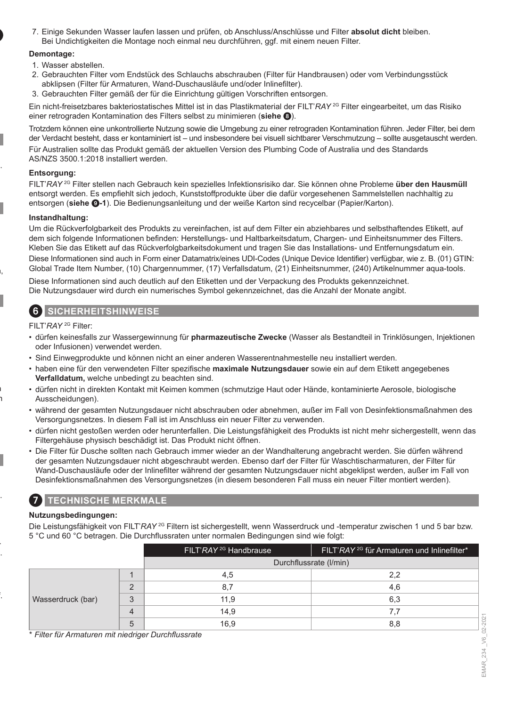7. Einige Sekunden Wasser laufen lassen und prüfen, ob Anschluss/Anschlüsse und Filter **absolut dicht** bleiben. Bei Undichtigkeiten die Montage noch einmal neu durchführen, ggf. mit einem neuen Filter.

#### **Demontage:**

- 1. Wasser abstellen.
- 2. Gebrauchten Filter vom Endstück des Schlauchs abschrauben (Filter für Handbrausen) oder vom Verbindungsstück abklipsen (Filter für Armaturen, Wand-Duschausläufe und/oder Inlinefilter).
- 3. Gebrauchten Filter gemäß der für die Einrichtung gültigen Vorschriften entsorgen.

Ein nicht-freisetzbares bakteriostatisches Mittel ist in das Plastikmaterial der FILT'*RAY* 2G Filter eingearbeitet, um das Risiko einer retrograden Kontamination des Filters selbst zu minimieren (**siehe** 8).

Trotzdem können eine unkontrollierte Nutzung sowie die Umgebung zu einer retrograden Kontamination führen. Jeder Filter, bei dem der Verdacht besteht, dass er kontaminiert ist – und insbesondere bei visuell sichtbarer Verschmutzung – sollte ausgetauscht werden. Für Australien sollte das Produkt gemäß der aktuellen Version des Plumbing Code of Australia und des Standards AS/NZS 3500.1:2018 installiert werden.

#### **Entsorgung:**

FILT'*RAY* 2G Filter stellen nach Gebrauch kein spezielles Infektionsrisiko dar. Sie können ohne Probleme **über den Hausmüll** entsorgt werden. Es empfiehlt sich jedoch, Kunststoffprodukte über die dafür vorgesehenen Sammelstellen nachhaltig zu entsorgen (**siehe** 9**-1**). Die Bedienungsanleitung und der weiße Karton sind recycelbar (Papier/Karton).

### **Instandhaltung:**

Um die Rückverfolgbarkeit des Produkts zu vereinfachen, ist auf dem Filter ein abziehbares und selbsthaftendes Etikett, auf dem sich folgende Informationen befinden: Herstellungs- und Haltbarkeitsdatum, Chargen- und Einheitsnummer des Filters. Kleben Sie das Etikett auf das Rückverfolgbarkeitsdokument und tragen Sie das Installations- und Entfernungsdatum ein. Diese Informationen sind auch in Form einer Datamatrix/eines UDI-Codes (Unique Device Identifier) verfügbar, wie z. B. (01) GTIN: Global Trade Item Number, (10) Chargennummer, (17) Verfallsdatum, (21) Einheitsnummer, (240) Artikelnummer aqua-tools.

Diese Informationen sind auch deutlich auf den Etiketten und der Verpackung des Produkts gekennzeichnet. Die Nutzungsdauer wird durch ein numerisches Symbol gekennzeichnet, das die Anzahl der Monate angibt.

### 6 **SICHERHEITSHINWEISE**

FILT'*RAY* 2G Filter:

- dürfen keinesfalls zur Wassergewinnung für **pharmazeutische Zwecke** (Wasser als Bestandteil in Trinklösungen, Injektionen oder Infusionen) verwendet werden.
- Sind Einwegprodukte und können nicht an einer anderen Wasserentnahmestelle neu installiert werden.
- haben eine für den verwendeten Filter spezifische **maximale Nutzungsdauer** sowie ein auf dem Etikett angegebenes **Verfalldatum,** welche unbedingt zu beachten sind.
- dürfen nicht in direkten Kontakt mit Keimen kommen (schmutzige Haut oder Hände, kontaminierte Aerosole, biologische Ausscheidungen).
- während der gesamten Nutzungsdauer nicht abschrauben oder abnehmen, außer im Fall von Desinfektionsmaßnahmen des Versorgungsnetzes. In diesem Fall ist im Anschluss ein neuer Filter zu verwenden.
- dürfen nicht gestoßen werden oder herunterfallen. Die Leistungsfähigkeit des Produkts ist nicht mehr sichergestellt, wenn das Filtergehäuse physisch beschädigt ist. Das Produkt nicht öffnen.
- Die Filter für Dusche sollten nach Gebrauch immer wieder an der Wandhalterung angebracht werden. Sie dürfen während der gesamten Nutzungsdauer nicht abgeschraubt werden. Ebenso darf der Filter für Waschtischarmaturen, der Filter für Wand-Duschausläufe oder der Inlinefilter während der gesamten Nutzungsdauer nicht abgeklipst werden, außer im Fall von Desinfektionsmaßnahmen des Versorgungsnetzes (in diesem besonderen Fall muss ein neuer Filter montiert werden).

### 7 **TECHNISCHE MERKMALE**

### **Nutzungsbedingungen:**

Die Leistungsfähigkeit von FILT'*RAY* 2G Filtern ist sichergestellt, wenn Wasserdruck und -temperatur zwischen 1 und 5 bar bzw. 5 °C und 60 °C betragen. Die Durchflussraten unter normalen Bedingungen sind wie folgt:

|                   |                | FILT'RAY <sup>2G</sup> Handbrause | FILT'RAY <sup>2G</sup> für Armaturen und Inlinefilter* |
|-------------------|----------------|-----------------------------------|--------------------------------------------------------|
|                   |                | Durchflussrate (I/min)            |                                                        |
|                   |                | 4.5                               | 2.2                                                    |
|                   | $\Omega$       | 8.7                               | 4.6                                                    |
| Wasserdruck (bar) | 3              | 11.9                              | 6,3                                                    |
|                   | $\overline{4}$ | 14,9                              | 7.7                                                    |
|                   | b              | 16.9                              | 8.8                                                    |

\* *Filter für Armaturen mit niedriger Durchflussrate*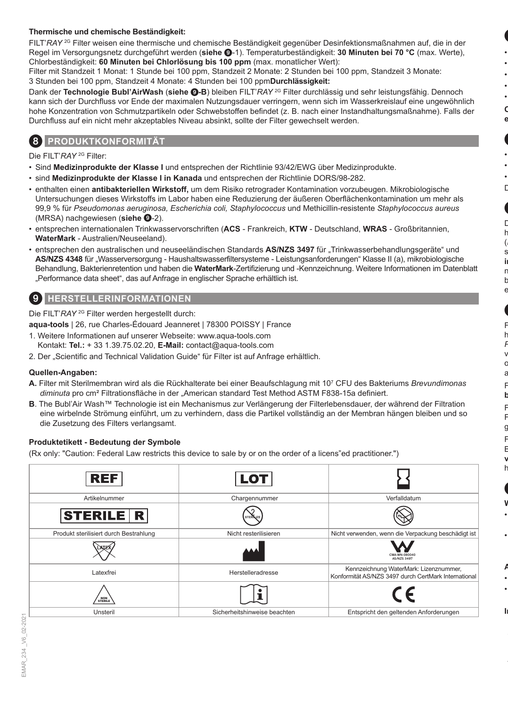### **Thermische und chemische Beständigkeit:**

FILT'*RAY* 2G Filter weisen eine thermische und chemische Beständigkeit gegenüber Desinfektionsmaßnahmen auf, die in der Regel im Versorgungsnetz durchgeführt werden (**siehe** 9-1). Temperaturbeständigkeit: **30 Minuten bei 70 °C** (max. Werte), Chlorbeständigkeit: **60 Minuten bei Chlorlösung bis 100 ppm** (max. monatlicher Wert):

Filter mit Standzeit 1 Monat: 1 Stunde bei 100 ppm, Standzeit 2 Monate: 2 Stunden bei 100 ppm, Standzeit 3 Monate: 3 Stunden bei 100 ppm, Standzeit 4 Monate: 4 Stunden bei 100 ppm**Durchlässigkeit:**

Dank der **Technologie Bubl'AirWash** (**siehe** 9**-B**) bleiben FILT'*RAY* 2G Filter durchlässig und sehr leistungsfähig. Dennoch kann sich der Durchfluss vor Ende der maximalen Nutzungsdauer verringern, wenn sich im Wasserkreislauf eine ungewöhnlich hohe Konzentration von Schmutzpartikeln oder Schwebstoffen befindet (z. B. nach einer Instandhaltungsmaßnahme). Falls der Durchfluss auf ein nicht mehr akzeptables Niveau absinkt, sollte der Filter gewechselt werden.

### 8 **PRODUKTKONFORMITÄT**

Die FILT'*RAY* 2G Filter:

- Sind **Medizinprodukte der Klasse I** und entsprechen der Richtlinie 93/42/EWG über Medizinprodukte.
- sind **Medizinprodukte der Klasse I in Kanada** und entsprechen der Richtlinie DORS/98-282.
- enthalten einen **antibakteriellen Wirkstoff,** um dem Risiko retrograder Kontamination vorzubeugen. Mikrobiologische Untersuchungen dieses Wirkstoffs im Labor haben eine Reduzierung der äußeren Oberflächenkontamination um mehr als 99,9 % für *Pseudomonas aeruginosa, Escherichia coli, Staphylococcus* und Methicillin-resistente *Staphylococcus aureus* (MRSA) nachgewiesen (**siehe** 9-2).
- entsprechen internationalen Trinkwasservorschriften (**ACS**  Frankreich, **KTW**  Deutschland, **WRAS**  Großbritannien, **WaterMark** - Australien/Neuseeland).
- entsprechen den australischen und neuseeländischen Standards AS/NZS 3497 für "Trinkwasserbehandlungsgeräte" und AS/NZS 4348 für "Wasserversorgung - Haushaltswasserfiltersysteme - Leistungsanforderungen" Klasse II (a), mikrobiologische Behandlung, Bakterienretention und haben die **WaterMark**-Zertifizierung und -Kennzeichnung. Weitere Informationen im Datenblatt "Performance data sheet", das auf Anfrage in englischer Sprache erhältlich ist.

# 9 **HERSTELLERINFORMATIONEN**

Die FILT'*RAY* 2G Filter werden hergestellt durch:

**aqua-tools** | 26, rue Charles-Édouard Jeanneret | 78300 POISSY | France

- 1. Weitere Informationen auf unserer Webseite: www.aqua-tools.com Kontakt: **Tel.:** + 33 1.39.75.02.20, **E-Mail:** contact@aqua-tools.com
- 2. Der "Scientific and Technical Validation Guide" für Filter ist auf Anfrage erhältlich.

### **Quellen-Angaben:**

- **A.** Filter mit Sterilmembran wird als die Rückhalterate bei einer Beaufschlagung mit 10<sup>7</sup> CFU des Bakteriums *Brevundimonas diminuta* pro cm² Filtrationsfläche in der "American standard Test Method ASTM F838-15a definiert.
- **B**. The Bubl'Air Wash™ Technologie ist ein Mechanismus zur Verlängerung der Filterlebensdauer, der während der Filtration eine wirbelnde Strömung einführt, um zu verhindern, dass die Partikel vollständig an der Membran hängen bleiben und so die Zusetzung des Filters verlangsamt.

### **Produktetikett - Bedeutung der Symbole**

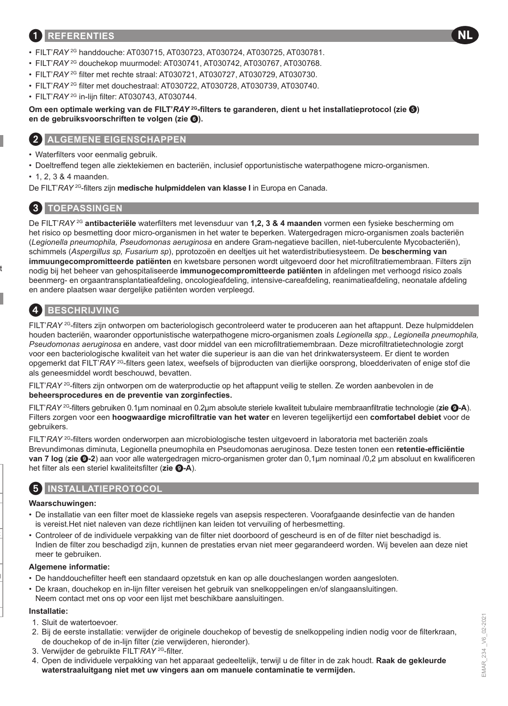### 1 **REFERENTIES**

- FILT'*RAY* 2G handdouche: AT030715, AT030723, AT030724, AT030725, AT030781.
- FILT'*RAY* 2G douchekop muurmodel: AT030741, AT030742, AT030767, AT030768.
- FILT'*RAY* 2G filter met rechte straal: AT030721, AT030727, AT030729, AT030730.
- FILT'*RAY* 2G filter met douchestraal: AT030722, AT030728, AT030739, AT030740.
- FILT'*RAY* 2G in-lijn filter: AT030743, AT030744.

**Om een optimale werking van de FILT'***RAY* **<sup>2G</sup>-filters te garanderen, dient u het installatieprotocol (zie <sup>(3)</sup>) en de gebruiksvoorschriften te volgen (zie** 6**).**

### **ALGEMENE EIGENSCHAPPEN**

- Waterfilters voor eenmalig gebruik.
- Doeltreffend tegen alle ziektekiemen en bacteriën, inclusief opportunistische waterpathogene micro-organismen.
- 1, 2, 3 & 4 maanden.

De FILT'*RAY* 2G-filters zijn **medische hulpmiddelen van klasse I** in Europa en Canada.

### 3 **TOEPASSINGEN**

De FILT'*RAY* 2G **antibacteriële** waterfilters met levensduur van **1,2, 3 & 4 maanden** vormen een fysieke bescherming om het risico op besmetting door micro-organismen in het water te beperken. Watergedragen micro-organismen zoals bacteriën (*Legionella pneumophila, Pseudomonas aeruginosa* en andere Gram-negatieve bacillen, niet-tuberculente Mycobacteriën), schimmels (*Aspergillus sp, Fusarium sp*), pprotozoën en deeltjes uit het waterdistributiesysteem. De **bescherming van immuungecompromitteerde patiënten** en kwetsbare personen wordt uitgevoerd door het microfiltratiemembraan. Filters zijn nodig bij het beheer van gehospitaliseerde **immunogecompromitteerde patiënten** in afdelingen met verhoogd risico zoals beenmerg- en orgaantransplantatieafdeling, oncologieafdeling, intensive-careafdeling, reanimatieafdeling, neonatale afdeling en andere plaatsen waar dergelijke patiënten worden verpleegd.

# 4 **BESCHRIJVING**

FILT'*RAY* 2G-filters zijn ontworpen om bacteriologisch gecontroleerd water te produceren aan het aftappunt. Deze hulpmiddelen houden bacteriën, waaronder opportunistische waterpathogene micro-organismen zoals *Legionella spp., Legionella pneumophila, Pseudomonas aeruginosa* en andere, vast door middel van een microfiltratiemembraan. Deze microfiltratietechnologie zorgt voor een bacteriologische kwaliteit van het water die superieur is aan die van het drinkwatersysteem. Er dient te worden opgemerkt dat FILT'*RAY* 2G-filters geen latex, weefsels of bijproducten van dierlijke oorsprong, bloedderivaten of enige stof die als geneesmiddel wordt beschouwd, bevatten.

FILT'*RAY* 2G-filters zijn ontworpen om de waterproductie op het aftappunt veilig te stellen. Ze worden aanbevolen in de **beheersprocedures en de preventie van zorginfecties.**

FILT'*RAY* 2G-filters gebruiken 0.1μm nominaal en 0.2μm absolute steriele kwaliteit tubulaire membraanfiltratie technologie (**zie** 9**-A**). Filters zorgen voor een **hoogwaardige microfiltratie van het water** en leveren tegelijkertijd een **comfortabel debiet** voor de gebruikers.

FILT'*RAY* 2G-filters worden onderworpen aan microbiologische testen uitgevoerd in laboratoria met bacteriën zoals Brevundimonas diminuta, Legionella pneumophila en Pseudomonas aeruginosa. Deze testen tonen een **retentie-efficiëntie van 7 log** (**zie** 9**-2**) aan voor alle watergedragen micro-organismen groter dan 0,1μm nominaal /0,2 μm absoluut en kwalificeren het filter als een steriel kwaliteitsfilter (**zie** 9**-A**).

### 5 **INSTALLATIEPROTOCOL**

#### **Waarschuwingen:**

- De installatie van een filter moet de klassieke regels van asepsis respecteren. Voorafgaande desinfectie van de handen is vereist.Het niet naleven van deze richtlijnen kan leiden tot vervuiling of herbesmetting.
- Controleer of de individuele verpakking van de filter niet doorboord of gescheurd is en of de filter niet beschadigd is. Indien de filter zou beschadigd zijn, kunnen de prestaties ervan niet meer gegarandeerd worden. Wij bevelen aan deze niet meer te gebruiken.

#### **Algemene informatie:**

- De handdouchefilter heeft een standaard opzetstuk en kan op alle doucheslangen worden aangesloten.
- De kraan, douchekop en in-lijn filter vereisen het gebruik van snelkoppelingen en/of slangaansluitingen. Neem contact met ons op voor een lijst met beschikbare aansluitingen.

#### **Installatie:**

- 1. Sluit de watertoevoer.
- 2. Bij de eerste installatie: verwijder de originele douchekop of bevestig de snelkoppeling indien nodig voor de filterkraan, de douchekop of de in-lijn filter (zie verwijderen, hieronder).
- 3. Verwijder de gebruikte FILT'*RAY* 2G-filter.
- 4. Open de individuele verpakking van het apparaat gedeeltelijk, terwijl u de filter in de zak houdt. **Raak de gekleurde waterstraaluitgang niet met uw vingers aan om manuele contaminatie te vermijden.**

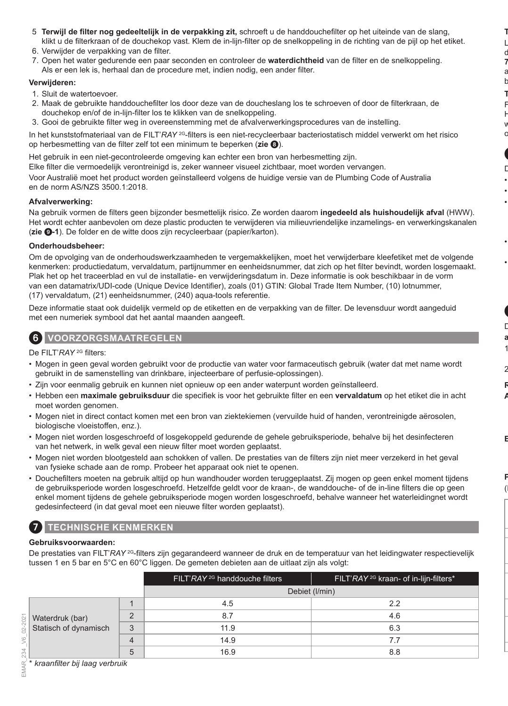- 5. **Terwijl de filter nog gedeeltelijk in de verpakking zit,** schroeft u de handdouchefilter op het uiteinde van de slang, klikt u de filterkraan of de douchekop vast. Klem de in-lijn-filter op de snelkoppeling in de richting van de pijl op het etiket.
- 6. Verwijder de verpakking van de filter.
- 7. Open het water gedurende een paar seconden en controleer de **waterdichtheid** van de filter en de snelkoppeling. Als er een lek is, herhaal dan de procedure met, indien nodig, een ander filter.

### **Verwijderen:**

- 1. Sluit de watertoevoer.
- 2. Maak de gebruikte handdouchefilter los door deze van de doucheslang los te schroeven of door de filterkraan, de douchekop en/of de in-lijn-filter los te klikken van de snelkoppeling.
- 3. Gooi de gebruikte filter weg in overeenstemming met de afvalverwerkingsprocedures van de instelling.

In het kunststofmateriaal van de FILT'*RAY* 2G-filters is een niet-recycleerbaar bacteriostatisch middel verwerkt om het risico op herbesmetting van de filter zelf tot een minimum te beperken (**zie** 8).

Het gebruik in een niet-gecontroleerde omgeving kan echter een bron van herbesmetting zijn. Elke filter die vermoedelijk verontreinigd is, zeker wanneer visueel zichtbaar, moet worden vervangen.

Voor Australië moet het product worden geïnstalleerd volgens de huidige versie van de Plumbing Code of Australia en de norm AS/NZS 3500.1:2018.

### **Afvalverwerking:**

Na gebruik vormen de filters geen bijzonder besmettelijk risico. Ze worden daarom **ingedeeld als huishoudelijk afval** (HWW). Het wordt echter aanbevolen om deze plastic producten te verwijderen via milieuvriendelijke inzamelings- en verwerkingskanalen (**zie** 9**-1**). De folder en de witte doos zijn recycleerbaar (papier/karton).

### **Onderhoudsbeheer:**

Om de opvolging van de onderhoudswerkzaamheden te vergemakkelijken, moet het verwijderbare kleefetiket met de volgende kenmerken: productiedatum, vervaldatum, partijnummer en eenheidsnummer, dat zich op het filter bevindt, worden losgemaakt. Plak het op het traceerblad en vul de installatie- en verwijderingsdatum in. Deze informatie is ook beschikbaar in de vorm van een datamatrix/UDI-code (Unique Device Identifier), zoals (01) GTIN: Global Trade Item Number, (10) lotnummer, (17) vervaldatum, (21) eenheidsnummer, (240) aqua-tools referentie.

Deze informatie staat ook duidelijk vermeld op de etiketten en de verpakking van de filter. De levensduur wordt aangeduid met een numeriek symbool dat het aantal maanden aangeeft.

### 6 **VOORZORGSMAATREGELEN**

De FILT'*RAY* 2G filters:

- Mogen in geen geval worden gebruikt voor de productie van water voor farmaceutisch gebruik (water dat met name wordt gebruikt in de samenstelling van drinkbare, injecteerbare of perfusie-oplossingen).
- Zijn voor eenmalig gebruik en kunnen niet opnieuw op een ander waterpunt worden geïnstalleerd.
- Hebben een **maximale gebruiksduur** die specifiek is voor het gebruikte filter en een **vervaldatum** op het etiket die in acht moet worden genomen.
- Mogen niet in direct contact komen met een bron van ziektekiemen (vervuilde huid of handen, verontreinigde aërosolen, biologische vloeistoffen, enz.).
- Mogen niet worden losgeschroefd of losgekoppeld gedurende de gehele gebruiksperiode, behalve bij het desinfecteren van het netwerk, in welk geval een nieuw filter moet worden geplaatst.
- Mogen niet worden blootgesteld aan schokken of vallen. De prestaties van de filters zijn niet meer verzekerd in het geval van fysieke schade aan de romp. Probeer het apparaat ook niet te openen.
- Douchefilters moeten na gebruik altijd op hun wandhouder worden teruggeplaatst. Zij mogen op geen enkel moment tijdens de gebruiksperiode worden losgeschroefd. Hetzelfde geldt voor de kraan-, de wanddouche- of de in-line filters die op geen enkel moment tijdens de gehele gebruiksperiode mogen worden losgeschroefd, behalve wanneer het waterleidingnet wordt gedesinfecteerd (in dat geval moet een nieuwe filter worden geplaatst).

# 7 **TECHNISCHE KENMERKEN**

### **Gebruiksvoorwaarden:**

De prestaties van FILT'*RAY* <sup>2G</sup>-filters zijn gegarandeerd wanneer de druk en de temperatuur van het leidingwater respectievelijk tussen 1 en 5 bar en 5°C en 60°C liggen. De gemeten debieten aan de uitlaat zijn als volgt:

|                                          |   | FILT'RAY <sup>2G</sup> handdouche filters | FILT'RAY <sup>2G</sup> kraan- of in-lijn-filters* |
|------------------------------------------|---|-------------------------------------------|---------------------------------------------------|
|                                          |   |                                           | Debiet (I/min)                                    |
|                                          |   | 4.5                                       | 2.2                                               |
| Waterdruk (bar)<br>Statisch of dynamisch |   | 8.7                                       | 4.6                                               |
|                                          | 3 | 11.9                                      | 6.3                                               |
|                                          | Δ | 14.9                                      | 7.7                                               |
|                                          | 5 | 16.9                                      | 8.8                                               |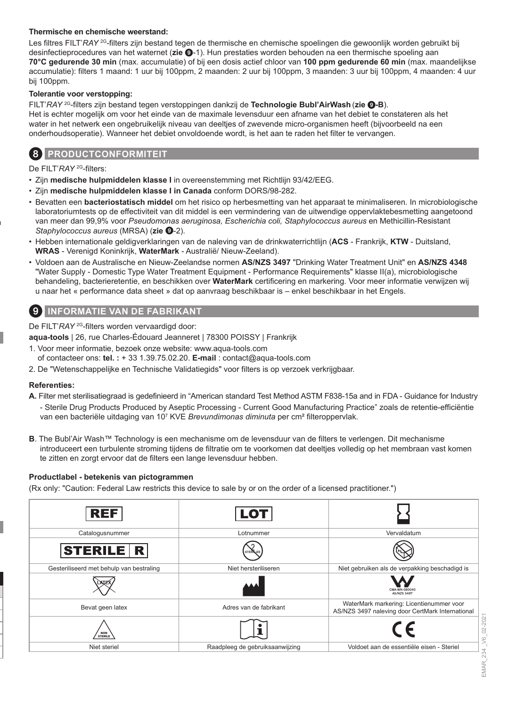### **Thermische en chemische weerstand:**

Les filtres FILT'*RAY* <sup>2G</sup>-filters zijn bestand tegen de thermische en chemische spoelingen die gewoonlijk worden gebruikt bij desinfectieprocedures van het waternet (**zie** 9-1). Hun prestaties worden behouden na een thermische spoeling aan **70°C gedurende 30 min** (max. accumulatie) of bij een dosis actief chloor van **100 ppm gedurende 60 min** (max. maandelijkse accumulatie): filters 1 maand: 1 uur bij 100ppm, 2 maanden: 2 uur bij 100ppm, 3 maanden: 3 uur bij 100ppm, 4 maanden: 4 uur bij 100ppm.

#### **Tolerantie voor verstopping:**

FILT'*RAY* 2G-filters zijn bestand tegen verstoppingen dankzij de **Technologie Bubl'AirWash** (**zie** 9**-B**). Het is echter mogelijk om voor het einde van de maximale levensduur een afname van het debiet te constateren als het water in het netwerk een ongebruikelijk niveau van deeltjes of zwevende micro-organismen heeft (bijvoorbeeld na een onderhoudsoperatie). Wanneer het debiet onvoldoende wordt, is het aan te raden het filter te vervangen.

### 8 **PRODUCTCONFORMITEIT**

De FILT'*RAY* 2G-filters:

- Zijn **medische hulpmiddelen klasse I** in overeenstemming met Richtlijn 93/42/EEG.
- Zijn **medische hulpmiddelen klasse I in Canada** conform DORS/98-282.
- Bevatten een **bacteriostatisch middel** om het risico op herbesmetting van het apparaat te minimaliseren. In microbiologische laboratoriumtests op de effectiviteit van dit middel is een vermindering van de uitwendige oppervlaktebesmetting aangetoond van meer dan 99,9% voor *Pseudomonas aeruginosa, Escherichia coli, Staphylococcus aureus* en Methicillin-Resistant *Staphylococcus aureus* (MRSA) (zie  $\odot$ -2).
- Hebben internationale geldigverklaringen van de naleving van de drinkwaterrichtlijn (**ACS**  Frankrijk, **KTW**  Duitsland, **WRAS** - Verenigd Koninkrijk, **WaterMark** - Australië/ Nieuw-Zeeland).
- Voldoen aan de Australische en Nieuw-Zeelandse normen **AS/NZS 3497** "Drinking Water Treatment Unit" en **AS/NZS 4348** "Water Supply - Domestic Type Water Treatment Equipment - Performance Requirements" klasse II(a), microbiologische behandeling, bacterieretentie, en beschikken over **WaterMark** certificering en markering. Voor meer informatie verwijzen wij u naar het « performance data sheet » dat op aanvraag beschikbaar is – enkel beschikbaar in het Engels.

### 9 **INFORMATIE VAN DE FABRIKANT**

De FILT'*RAY*<sup>2G</sup>-filters worden vervaardigd door:

**aqua-tools** | 26, rue Charles-Édouard Jeanneret | 78300 POISSY | Frankrijk

- 1. Voor meer informatie, bezoek onze website: www.aqua-tools.com
- of contacteer ons: **tel. :** + 33 1.39.75.02.20. **E-mail** : contact@aqua-tools.com
- 2. De "Wetenschappelijke en Technische Validatiegids" voor filters is op verzoek verkrijgbaar.

#### **Referenties:**

- **A.** Filter met sterilisatiegraad is gedefinieerd in "American standard Test Method ASTM F838-15a and in FDA Guidance for Industry - Sterile Drug Products Produced by Aseptic Processing - Current Good Manufacturing Practice" zoals de retentie-efficiëntie van een bacteriële uitdaging van 10<sup>7</sup> KVE *Brevundimonas diminuta* per cm² filteroppervlak.
- **B**. The Bubl'Air Wash™ Technology is een mechanisme om de levensduur van de filters te verlengen. Dit mechanisme introduceert een turbulente stroming tijdens de filtratie om te voorkomen dat deeltjes volledig op het membraan vast komen te zitten en zorgt ervoor dat de filters een lange levensduur hebben.

#### **Productlabel - betekenis van pictogrammen**

(Rx only: "Caution: Federal Law restricts this device to sale by or on the order of a licensed practitioner.")



EMAR\_234\_V6\_02-2021 EMAR\_234 \_V6\_02-2021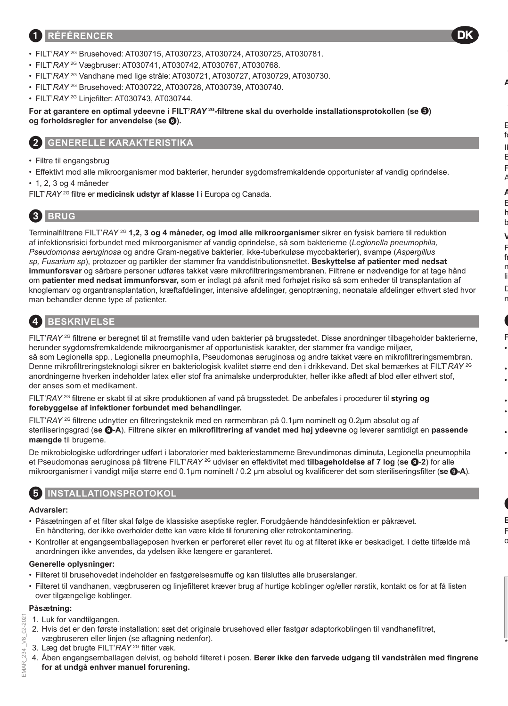### 1 **RÉFÉRENCER**

- FILT'*RAY* 2G Brusehoved: AT030715, AT030723, AT030724, AT030725, AT030781.
- FILT'*RAY* 2G Vægbruser: AT030741, AT030742, AT030767, AT030768.
- FILT'*RAY* 2G Vandhane med lige stråle: AT030721, AT030727, AT030729, AT030730.
- FILT'*RAY* 2G Brusehoved: AT030722, AT030728, AT030739, AT030740.
- FILT'*RAY* 2G Linjefilter: AT030743, AT030744.

**For at garantere en optimal ydeevne i FILT'***RAY* **2G-filtrene skal du overholde installationsprotokollen (se ) og forholdsregler for anvendelse (se** 6**).**

DK

### 2 **GENERELLE KARAKTERISTIKA**

- Filtre til engangsbrug
- Effektivt mod alle mikroorganismer mod bakterier, herunder sygdomsfremkaldende opportunister af vandig oprindelse.
- 1, 2, 3 og 4 måneder
- FILT'*RAY* 2G filtre er **medicinsk udstyr af klasse I** i Europa og Canada.

# 3 **BRUG**

Terminalfiltrene FILT'*RAY* 2G **1,2, 3 og 4 måneder, og imod alle mikroorganismer** sikrer en fysisk barriere til reduktion af infektionsrisici forbundet med mikroorganismer af vandig oprindelse, så som bakterierne (*Legionella pneumophila, Pseudomonas aeruginosa* og andre Gram-negative bakterier, ikke-tuberkuløse mycobakterier), svampe (*Aspergillus sp, Fusarium sp*), protozoer og partikler der stammer fra vanddistributionsnettet. **Beskyttelse af patienter med nedsat immunforsvar** og sårbare personer udføres takket være mikrofiltreringsmembranen. Filtrene er nødvendige for at tage hånd om **patienter med nedsat immunforsvar,** som er indlagt på afsnit med forhøjet risiko så som enheder til transplantation af knoglemarv og organtransplantation, kræftafdelinger, intensive afdelinger, genoptræning, neonatale afdelinger ethvert sted hvor man behandler denne type af patienter.

# 4 **BESKRIVELSE**

FILT'*RAY* <sup>2G</sup> filtrene er beregnet til at fremstille vand uden bakterier på brugsstedet. Disse anordninger tilbageholder bakterierne, herunder sygdomsfremkaldende mikroorganismer af opportunistisk karakter, der stammer fra vandige miljøer, så som Legionella spp., Legionella pneumophila, Pseudomonas aeruginosa og andre takket være en mikrofiltreringsmembran. Denne mikrofiltreringsteknologi sikrer en bakteriologisk kvalitet større end den i drikkevand. Det skal bemærkes at FILT'*RAY* 2G anordningerne hverken indeholder latex eller stof fra animalske underprodukter, heller ikke afledt af blod eller ethvert stof, der anses som et medikament.

FILT'*RAY* 2G filtrene er skabt til at sikre produktionen af vand på brugsstedet. De anbefales i procedurer til **styring og forebyggelse af infektioner forbundet med behandlinger.**

FILT'*RAY* 2G filtrene udnytter en filtreringsteknik med en rørmembran på 0.1µm nominelt og 0.2µm absolut og af steriliseringsgrad (**se** 9**-A**). Filtrene sikrer en **mikrofiltrering af vandet med høj ydeevne** og leverer samtidigt en **passende mængde** til brugerne.

De mikrobiologiske udfordringer udført i laboratorier med bakteriestammerne Brevundimonas diminuta, Legionella pneumophila et Pseudomonas aeruginosa på filtrene FILT'*RAY* 2G udviser en effektivitet med **tilbageholdelse af 7 log** (**se** 9**-2**) for alle mikroorganismer i vandigt miljø større end 0.1µm nominelt / 0.2 μm absolut og kvalificerer det som steriliseringsfilter (**se** 9**-A**).

### 5 **INSTALLATIONSPROTOKOL**

### **Advarsler:**

- Påsætningen af et filter skal følge de klassiske aseptiske regler. Forudgående hånddesinfektion er påkrævet. En håndtering, der ikke overholder dette kan være kilde til forurening eller retrokontaminering.
- Kontroller at engangsemballageposen hverken er perforeret eller revet itu og at filteret ikke er beskadiget. I dette tilfælde må anordningen ikke anvendes, da ydelsen ikke længere er garanteret.

### **Generelle oplysninger:**

- Filteret til brusehovedet indeholder en fastgørelsesmuffe og kan tilsluttes alle bruserslanger.
- Filteret til vandhanen, vægbruseren og linjefilteret kræver brug af hurtige koblinger og/eller rørstik, kontakt os for at få listen over tilgængelige koblinger.

#### **Påsætning:**

202 è

**IMAR 234** 

- 1. Luk for vandtilgangen.
- EMAR\_234 \_V6\_02-2021 2. Hvis det er den første installation: sæt det originale brusehoved eller fastgør adaptorkoblingen til vandhanefiltret, vægbruseren eller linjen (se aftagning nedenfor).
	- 3. Læg det brugte FILT'*RAY* 2G filter væk.
	- 4. Åben engangsemballagen delvist, og behold filteret i posen. **Berør ikke den farvede udgang til vandstrålen med fingrene for at undgå enhver manuel forurening.**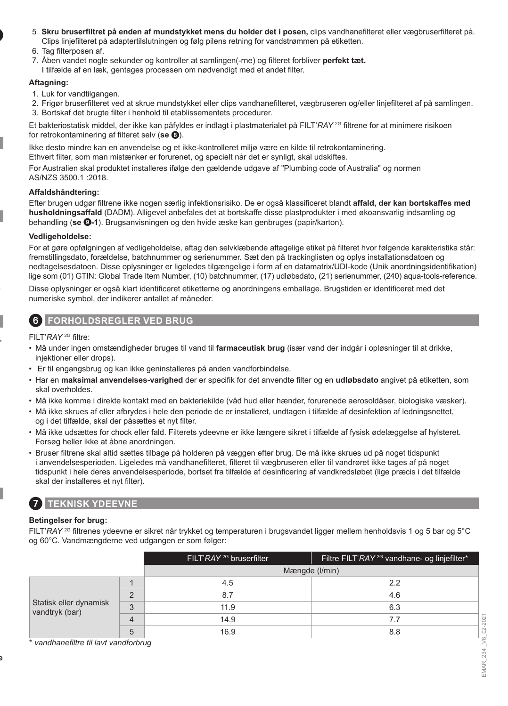- 5. **Skru bruserfiltret på enden af mundstykket mens du holder det i posen,** clips vandhanefilteret eller vægbruserfilteret på. Clips linjefilteret på adaptertilslutningen og følg pilens retning for vandstrømmen på etiketten.
- 6. Tag filterposen af
- 7. Åben vandet nogle sekunder og kontroller at samlingen(-rne) og filteret forbliver **perfekt tæt.**
- I tilfælde af en læk, gentages processen om nødvendigt med et andet filter.

### **Aftagning:**

- 1. Luk for vandtilgangen.
- 2. Frigør bruserfilteret ved at skrue mundstykket eller clips vandhanefilteret, vægbruseren og/eller linjefilteret af på samlingen.
- 3. Bortskaf det brugte filter i henhold til etablissementets procedurer.

Et bakteriostatisk middel, der ikke kan påfyldes er indlagt i plastmaterialet på FILT'*RAY* 2G filtrene for at minimere risikoen for retrokontaminering af filteret selv (**se** 8).

Ikke desto mindre kan en anvendelse og et ikke-kontrolleret miljø være en kilde til retrokontaminering.

Ethvert filter, som man mistænker er forurenet, og specielt når det er synligt, skal udskiftes.

For Australien skal produktet installeres ifølge den gældende udgave af "Plumbing code of Australia" og normen AS/NZS 3500.1 :2018.

### **Affaldshåndtering:**

Efter brugen udgør filtrene ikke nogen særlig infektionsrisiko. De er også klassificeret blandt **affald, der kan bortskaffes med husholdningsaffald** (DADM). Alligevel anbefales det at bortskaffe disse plastprodukter i med økoansvarlig indsamling og behandling (**se** 9**-1**). Brugsanvisningen og den hvide æske kan genbruges (papir/karton).

### **Vedligeholdelse:**

For at gøre opfølgningen af vedligeholdelse, aftag den selvklæbende aftagelige etiket på filteret hvor følgende karakteristika står: fremstillingsdato, forældelse, batchnummer og serienummer. Sæt den på trackinglisten og oplys installationsdatoen og nedtagelsesdatoen. Disse oplysninger er ligeledes tilgængelige i form af en datamatrix/UDI-kode (Unik anordningsidentifikation) lige som (01) GTIN: Global Trade Item Number, (10) batchnummer, (17) udløbsdato, (21) serienummer, (240) aqua-tools-reference.

Disse oplysninger er også klart identificeret etiketterne og anordningens emballage. Brugstiden er identificeret med det numeriske symbol, der indikerer antallet af måneder.

### 6 **FORHOLDSREGLER VED BRUG**

FILT'*RAY* 2G filtre:

- Må under ingen omstændigheder bruges til vand til **farmaceutisk brug** (især vand der indgår i opløsninger til at drikke, injektioner eller drops).
- Er til engangsbrug og kan ikke geninstalleres på anden vandforbindelse.
- Har en **maksimal anvendelses-varighed** der er specifik for det anvendte filter og en **udløbsdato** angivet på etiketten, som skal overholdes.
- Må ikke komme i direkte kontakt med en bakteriekilde (våd hud eller hænder, forurenede aerosoldåser, biologiske væsker).
- Må ikke skrues af eller afbrydes i hele den periode de er installeret, undtagen i tilfælde af desinfektion af ledningsnettet, og i det tilfælde, skal der påsættes et nyt filter.
- Må ikke udsættes for chock eller fald. Filterets ydeevne er ikke længere sikret i tilfælde af fysisk ødelæggelse af hylsteret. Forsøg heller ikke at åbne anordningen.
- Bruser filtrene skal altid sættes tilbage på holderen på væggen efter brug. De må ikke skrues ud på noget tidspunkt i anvendelsesperioden. Ligeledes må vandhanefilteret, filteret til vægbruseren eller til vandrøret ikke tages af på noget tidspunkt i hele deres anvendelsesperiode, bortset fra tilfælde af desinficering af vandkredsløbet (lige præcis i det tilfælde skal der installeres et nyt filter).

# 7 **TEKNISK YDEEVNE**

### **Betingelser for brug:**

FILT'*RAY* 2G filtrenes ydeevne er sikret når trykket og temperaturen i brugsvandet ligger mellem henholdsvis 1 og 5 bar og 5°C og 60°C. Vandmængderne ved udgangen er som følger:

|                                                                                  | FILT'RAY <sup>2G</sup> bruserfilter | Filtre FILT'RAY <sup>2G</sup> vandhane- og linjefilter* |
|----------------------------------------------------------------------------------|-------------------------------------|---------------------------------------------------------|
|                                                                                  | Mængde (I/min)                      |                                                         |
| $\Omega$<br>Statisk eller dynamisk<br>3<br>vandtryk (bar)<br>$\overline{4}$<br>5 | 4.5                                 | 2.2                                                     |
|                                                                                  | 8.7                                 | 4.6                                                     |
|                                                                                  | 11.9                                | 6.3                                                     |
|                                                                                  | 14.9                                | 7.7                                                     |
|                                                                                  | 16.9                                | 8.8                                                     |

\* *vandhanefiltre til lavt vandforbrug*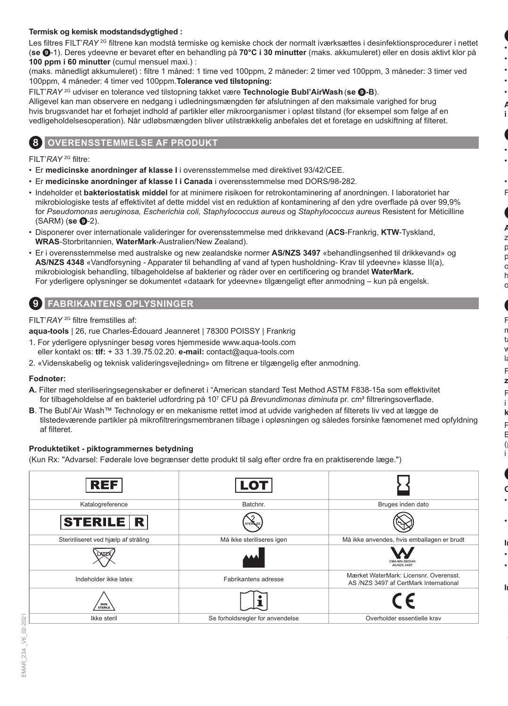### **Termisk og kemisk modstandsdygtighed :**

Les filtres FILT'*RAY*<sup>2G</sup> filtrene kan modstå termiske og kemiske chock der normalt iværksættes i desinfektionsprocedurer i nettet (**se** 9-1). Deres ydeevne er bevaret efter en behandling på **70°C i 30 minutter** (maks. akkumuleret) eller en dosis aktivt klor på **100 ppm i 60 minutter** (cumul mensuel maxi.) :

(maks. månedligt akkumuleret) : filtre 1 måned: 1 time ved 100ppm, 2 måneder: 2 timer ved 100ppm, 3 måneder: 3 timer ved 100ppm, 4 måneder: 4 timer ved 100ppm.**Tolerance ved tilstopning:**

FILT'*RAY* 2G udviser en tolerance ved tilstopning takket være **Technologie Bubl'AirWash** (**se** 9**-B**).

Alligevel kan man observere en nedgang i udledningsmængden før afslutningen af den maksimale varighed for brug hvis brugsvandet har et forhøjet indhold af partikler eller mikroorganismer i opløst tilstand (for eksempel som følge af en vedligeholdelsesoperation). Når udløbsmængden bliver utilstrækkelig anbefales det et foretage en udskiftning af filteret.

### **OVERENSSTEMMELSE AF PRODUKT**

FILT'*RAY* 2G filtre:

- Er **medicinske anordninger af klasse I** i overensstemmelse med direktivet 93/42/CEE.
- Er **medicinske anordninger af klasse I i Canada** i overensstemmelse med DORS/98-282.
- Indeholder et **bakteriostatisk middel** for at minimere risikoen for retrokontaminering af anordningen. I laboratoriet har mikrobiologiske tests af effektivitet af dette middel vist en reduktion af kontaminering af den ydre overflade på over 99,9% for *Pseudomonas aeruginosa, Escherichia coli, Staphylococcus aureus* og *Staphylococcus aureus* Resistent for Méticilline (SARM) (**se <b>@**-2).
- Disponerer over internationale valideringer for overensstemmelse med drikkevand (**ACS**-Frankrig, **KTW**-Tyskland, **WRAS**-Storbritannien, **WaterMark**-Australien/New Zealand).
- Er i overensstemmelse med australske og new zealandske normer **AS/NZS 3497** «behandlingsenhed til drikkevand» og **AS/NZS 4348** «Vandforsyning - Apparater til behandling af vand af typen husholdning- Krav til ydeevne» klasse II(a), mikrobiologisk behandling, tilbageholdelse af bakterier og råder over en certificering og brandet **WaterMark.** For yderligere oplysninger se dokumentet «dataark for ydeevne» tilgængeligt efter anmodning – kun på engelsk.

### 9 **FABRIKANTENS OPLYSNINGER**

### FILT'*RAY* 2G filtre fremstilles af:

**aqua-tools** | 26, rue Charles-Édouard Jeanneret | 78300 POISSY | Frankrig

- 1. For yderligere oplysninger besøg vores hjemmeside www.aqua-tools.com eller kontakt os: **tlf:** + 33 1.39.75.02.20. **e-mail:** contact@aqua-tools.com
- 2. «Videnskabelig og teknisk valideringsvejledning» om filtrene er tilgængelig efter anmodning.

### **Fodnoter:**

- **A.** Filter med steriliseringsegenskaber er defineret i "American standard Test Method ASTM F838-15a som effektivitet for tilbageholdelse af en bakteriel udfordring på 10<sup>7</sup> CFU på *Brevundimonas diminuta* pr. cm² filtreringsoverflade.
- **B**. The Bubl'Air Wash™ Technology er en mekanisme rettet imod at udvide varigheden af filterets liv ved at lægge de tilstedeværende partikler på mikrofiltreringsmembranen tilbage i opløsningen og således forsinke fænomenet med opfyldning af filteret.

### **Produktetiket - piktogrammernes betydning**

(Kun Rx: "Advarsel: Føderale love begrænser dette produkt til salg efter ordre fra en praktiserende læge.")

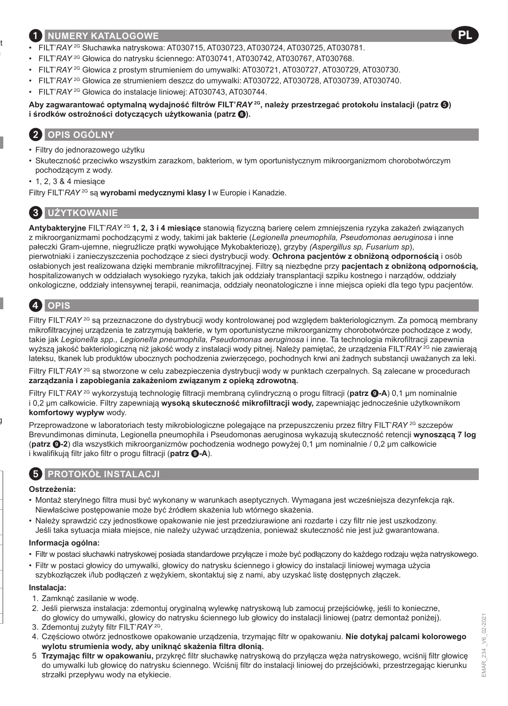### 1 **NUMERY KATALOGOWE**

- FILT'*RAY* 2G Słuchawka natryskowa: AT030715, AT030723, AT030724, AT030725, AT030781.
- FILT'*RAY* 2G Głowica do natrysku ściennego: AT030741, AT030742, AT030767, AT030768.
- FILT'*RAY* 2G Głowica z prostym strumieniem do umywalki: AT030721, AT030727, AT030729, AT030730.
- FILT'*RAY* 2G Głowica ze strumieniem deszcz do umywalki: AT030722, AT030728, AT030739, AT030740.
- FILT'*RAY* 2G Głowica do instalacje liniowej: AT030743, AT030744.

**Aby zagwarantować optymalną wydajność filtrów FILT'***RAY* **2G, należy przestrzegać protokołu instalacji (patrz ) i środków ostrożności dotyczących użytkowania (patrz** 6**).**

# 2 **OPIS OGÓLNY**

- Filtry do jednorazowego użytku
- Skuteczność przeciwko wszystkim zarazkom, bakteriom, w tym oportunistycznym mikroorganizmom chorobotwórczym pochodzącym z wody.
- 1, 2, 3 & 4 miesiące

Filtry FILT'*RAY* 2G są **wyrobami medycznymi klasy I** w Europie i Kanadzie.

# **UŻYTKOWANIE**

**Antybakteryjne** FILT'*RAY* 2G **1, 2, 3 i 4 miesiące** stanowią fizyczną barierę celem zmniejszenia ryzyka zakażeń związanych z mikroorganizmami pochodzącymi z wody, takimi jak bakterie (*Legionella pneumophila, Pseudomonas aeruginosa* i inne pałeczki Gram-ujemne, niegruźlicze prątki wywołujące Mykobakteriozę), grzyby *(Aspergillus sp, Fusarium sp*),

pierwotniaki i zanieczyszczenia pochodzące z sieci dystrybucji wody. **Ochrona pacjentów z obniżoną odpornością** i osób osłabionych jest realizowana dzięki membranie mikrofiltracyjnej. Filtry są niezbędne przy **pacjentach z obniżoną odpornością,**  hospitalizowanych w oddziałach wysokiego ryzyka, takich jak oddziały transplantacji szpiku kostnego i narządów, oddziały onkologiczne, oddziały intensywnej terapii, reanimacja, oddziały neonatologiczne i inne miejsca opieki dla tego typu pacjentów.

# 4 **OPIS**

Filtry FILT'*RAY* 2G są przeznaczone do dystrybucji wody kontrolowanej pod względem bakteriologicznym. Za pomocą membrany mikrofiltracyjnej urządzenia te zatrzymują bakterie, w tym oportunistyczne mikroorganizmy chorobotwórcze pochodzące z wody, takie jak *Legionella spp., Legionella pneumophila, Pseudomonas aeruginosa* i inne. Ta technologia mikrofiltracji zapewnia wyższą jakość bakteriologiczną niż jakość wody z instalacji wody pitnej. Należy pamiętać, że urządzenia FILT'*RAY* 2G nie zawierają lateksu, tkanek lub produktów ubocznych pochodzenia zwierzęcego, pochodnych krwi ani żadnych substancji uważanych za leki.

Filtry FILT'*RAY* <sup>2G</sup> są stworzone w celu zabezpieczenia dystrybucji wody w punktach czerpalnych. Są zalecane w procedurach **zarządzania i zapobiegania zakażeniom związanym z opieką zdrowotną.**

Filtry FILT'*RAY* 2G wykorzystują technologię filtracji membraną cylindryczną o progu filtracji (**patrz** 9**-A**) 0,1 μm nominalnie i 0,2 μm całkowicie. Filtry zapewniają **wysoką skuteczność mikrofiltracji wody,** zapewniając jednocześnie użytkownikom **komfortowy wypływ** wody.

Przeprowadzone w laboratoriach testy mikrobiologiczne polegające na przepuszczeniu przez filtry FILT'*RAY* 2G szczepów Brevundimonas diminuta, Legionella pneumophila i Pseudomonas aeruginosa wykazują skuteczność retencji **wynoszącą 7 log** (**patrz** 9**-2**) dla wszystkich mikroorganizmów pochodzenia wodnego powyżej 0,1 μm nominalnie / 0,2 μm całkowicie i kwalifikują filtr jako filtr o progu filtracji (**patrz** 9**-A**).

# 5 **PROTOKÓŁ INSTALACJI**

### **Ostrzeżenia:**

- Montaż sterylnego filtra musi być wykonany w warunkach aseptycznych. Wymagana jest wcześniejsza dezynfekcja rąk. Niewłaściwe postępowanie może być źródłem skażenia lub wtórnego skażenia.
- Należy sprawdzić czy jednostkowe opakowanie nie jest przedziurawione ani rozdarte i czy filtr nie jest uszkodzony. Jeśli taka sytuacja miała miejsce, nie należy używać urządzenia, ponieważ skuteczność nie jest już gwarantowana.

#### **Informacja ogólna:**

- Filtr w postaci słuchawki natryskowej posiada standardowe przyłącze i może być podłączony do każdego rodzaju węża natryskowego.
- Filtr w postaci głowicy do umywalki, głowicy do natrysku ściennego i głowicy do instalacji liniowej wymaga użycia szybkozłączek i/lub podłączeń z wężykiem, skontaktuj się z nami, aby uzyskać listę dostępnych złączek.

#### **Instalacja:**

- 1. Zamknąć zasilanie w wodę.
- 2. Jeśli pierwsza instalacja: zdemontuj oryginalną wylewkę natryskową lub zamocuj przejściówkę, jeśli to konieczne, do głowicy do umywalki, głowicy do natrysku ściennego lub głowicy do instalacji liniowej (patrz demontaż poniżej).
- 3. Zdemontuj zużyty filtr FILT'*RAY* 2G.
- 4. Częściowo otwórz jednostkowe opakowanie urządzenia, trzymając filtr w opakowaniu. **Nie dotykaj palcami kolorowego wylotu strumienia wody, aby uniknąć skażenia filtra dłonią.**
- 5. **Trzymając filtr w opakowaniu,** przykręć filtr słuchawkę natryskową do przyłącza węża natryskowego, wciśnij filtr głowicę do umywalki lub głowicę do natrysku ściennego. Wciśnij filtr do instalacji liniowej do przejściówki, przestrzegając kierunku strzałki przepływu wody na etykiecie.

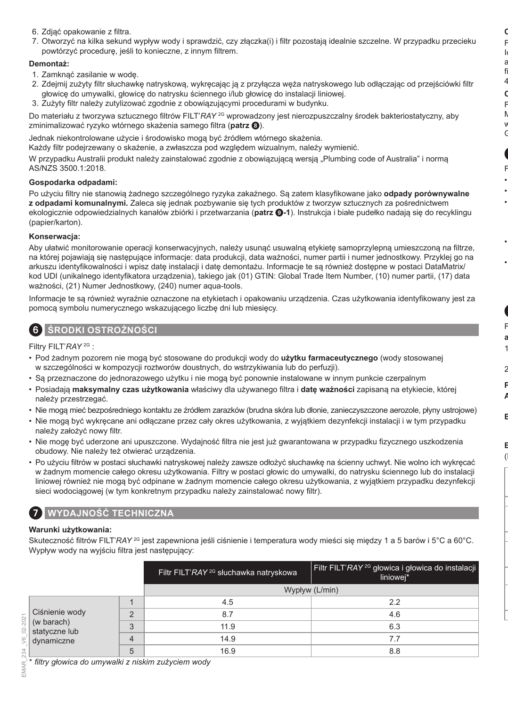- 6. Zdjąć opakowanie z filtra.
- 7. Otworzyć na kilka sekund wypływ wody i sprawdzić, czy złączka(i) i filtr pozostają idealnie szczelne. W przypadku przecieku powtórzyć procedurę, jeśli to konieczne, z innym filtrem.

### **Demontaż:**

- 1. Zamknąć zasilanie w wodę.
- 2. Zdejmij zużyty filtr słuchawkę natryskową, wykręcając ją z przyłącza węża natryskowego lub odłączając od przejściówki filtr głowicę do umywalki, głowicę do natrysku ściennego i/lub głowicę do instalacji liniowej.
- 3. Zużyty filtr należy zutylizować zgodnie z obowiązującymi procedurami w budynku.

Do materiału z tworzywa sztucznego filtrów FILT'*RAY* 2G wprowadzony jest nierozpuszczalny środek bakteriostatyczny, aby zminimalizować ryzyko wtórnego skażenia samego filtra (**patrz** 8).

Jednak niekontrolowane użycie i środowisko mogą być źródłem wtórnego skażenia.

Każdy filtr podejrzewany o skażenie, a zwłaszcza pod względem wizualnym, należy wymienić.

W przypadku Australii produkt należy zainstalować zgodnie z obowiązującą wersią "Plumbing code of Australia" i normą AS/NZS 3500.1:2018.

### **Gospodarka odpadami:**

Po użyciu filtry nie stanowią żadnego szczególnego ryzyka zakaźnego. Są zatem klasyfikowane jako **odpady porównywalne z odpadami komunalnymi.** Zaleca się jednak pozbywanie się tych produktów z tworzyw sztucznych za pośrednictwem ekologicznie odpowiedzialnych kanałów zbiórki i przetwarzania (**patrz** 9**-1**). Instrukcja i białe pudełko nadają się do recyklingu (papier/karton).

### **Konserwacja:**

Aby ułatwić monitorowanie operacji konserwacyjnych, należy usunąć usuwalną etykietę samoprzylepną umieszczoną na filtrze, na której pojawiają się następujące informacje: data produkcji, data ważności, numer partii i numer jednostkowy. Przyklej go na arkuszu identyfikowalności i wpisz datę instalacji i datę demontażu. Informacje te są również dostępne w postaci DataMatrix/ kod UDI (unikalnego identyfikatora urządzenia), takiego jak (01) GTIN: Global Trade Item Number, (10) numer partii, (17) data ważności, (21) Numer Jednostkowy, (240) numer aqua-tools.

Informacje te są również wyraźnie oznaczone na etykietach i opakowaniu urządzenia. Czas użytkowania identyfikowany jest za pomocą symbolu numerycznego wskazującego liczbę dni lub miesięcy.

### 6 **ŚRODKI OSTROŻNOŚCI**

Filtry FILT'*RAY* 2G :

- Pod żadnym pozorem nie mogą być stosowane do produkcji wody do **użytku farmaceutycznego** (wody stosowanej w szczególności w kompozycji roztworów doustnych, do wstrzykiwania lub do perfuzji).
- Są przeznaczone do jednorazowego użytku i nie mogą być ponownie instalowane w innym punkcie czerpalnym
- Posiadają **maksymalny czas użytkowania** właściwy dla używanego filtra i **datę ważności** zapisaną na etykiecie, której należy przestrzegać.
- Nie mogą mieć bezpośredniego kontaktu ze źródłem zarazków (brudna skóra lub dłonie, zanieczyszczone aerozole, płyny ustrojowe)
- Nie mogą być wykręcane ani odłączane przez cały okres użytkowania, z wyjątkiem dezynfekcji instalacji i w tym przypadku należy założyć nowy filtr.
- Nie mogę być uderzone ani upuszczone. Wydajność filtra nie jest już gwarantowana w przypadku fizycznego uszkodzenia obudowy. Nie należy też otwierać urządzenia.
- Po użyciu filtrów w postaci słuchawki natryskowej należy zawsze odłożyć słuchawkę na ścienny uchwyt. Nie wolno ich wykręcać w żadnym momencie całego okresu użytkowania. Filtry w postaci głowic do umywalki, do natrysku ściennego lub do instalacji liniowej również nie mogą być odpinane w żadnym momencie całego okresu użytkowania, z wyjątkiem przypadku dezynfekcji sieci wodociągowej (w tym konkretnym przypadku należy zainstalować nowy filtr).

### 7 **WYDAJNOŚĆ TECHNICZNA**

### **Warunki użytkowania:**

Skuteczność filtrów FILT'*RAY* 2G jest zapewniona jeśli ciśnienie i temperatura wody mieści się między 1 a 5 barów i 5°C a 60°C. Wypływ wody na wyjściu filtra jest następujący:

|          |                                                                                                                                                              |   | Filtr FILT'RAY <sup>2G</sup> słuchawka natryskowa | Filtr FILT' <i>RAY</i> <sup>2G</sup> głowica i głowica do instalacji<br>liniowej* |
|----------|--------------------------------------------------------------------------------------------------------------------------------------------------------------|---|---------------------------------------------------|-----------------------------------------------------------------------------------|
|          |                                                                                                                                                              |   |                                                   | Wypływ (L/min)                                                                    |
|          |                                                                                                                                                              |   | 4.5                                               | 2.2                                                                               |
|          | Ciśnienie wody                                                                                                                                               | C | 8.7                                               | 4.6                                                                               |
|          | Cisnienie wod<br>$\begin{bmatrix} \circ \\ \circ \\ \circ \end{bmatrix}$ (w barach)<br>$\begin{bmatrix} \circ \\ \circ \\ \circ \end{bmatrix}$ statyczne lub | 3 | 11.9                                              | 6.3                                                                               |
| 9<br>234 | dynamiczne                                                                                                                                                   |   | 14.9                                              | 7.7                                                                               |
|          |                                                                                                                                                              | 5 | 16.9                                              | 8.8                                                                               |

\* *filtry głowica do umywalki z niskim zużyciem wody*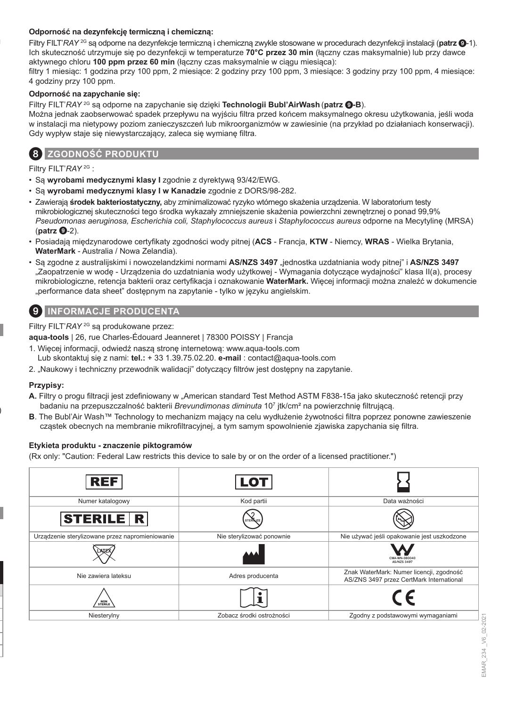### **Odporność na dezynfekcję termiczną i chemiczną:**

Filtry FILT'*RAY* 2G są odporne na dezynfekcje termiczną i chemiczną zwykle stosowane w procedurach dezynfekcji instalacji (**patrz** 9-1). Ich skuteczność utrzymuje się po dezynfekcji w temperaturze **70°C przez 30 min** (łączny czas maksymalnie) lub przy dawce aktywnego chloru **100 ppm przez 60 min** (łączny czas maksymalnie w ciągu miesiąca):

filtry 1 miesiąc: 1 godzina przy 100 ppm, 2 miesiące: 2 godziny przy 100 ppm, 3 miesiące: 3 godziny przy 100 ppm, 4 miesiące: 4 godziny przy 100 ppm.

#### **Odporność na zapychanie się:**

Filtry FILT'*RAY* 2G są odporne na zapychanie się dzięki **Technologii Bubl'AirWash** (**patrz** 9**-B**).

Można jednak zaobserwować spadek przepływu na wyjściu filtra przed końcem maksymalnego okresu użytkowania, jeśli woda w instalacji ma nietypowy poziom zanieczyszczeń lub mikroorganizmów w zawiesinie (na przykład po działaniach konserwacji). Gdy wypływ staje się niewystarczający, zaleca się wymianę filtra.



### 8 **ZGODNOŚĆ PRODUKTU**

Filtry FILT'*RAY* 2G :

- Są **wyrobami medycznymi klasy I** zgodnie z dyrektywą 93/42/EWG.
- Są **wyrobami medycznymi klasy I w Kanadzie** zgodnie z DORS/98-282.
- Zawierają **środek bakteriostatyczny,** aby zminimalizować ryzyko wtórnego skażenia urządzenia. W laboratorium testy mikrobiologicznej skuteczności tego środka wykazały zmniejszenie skażenia powierzchni zewnętrznej o ponad 99,9% *Pseudomonas aeruginosa, Escherichia coli, Staphylococcus aureus* i *Staphylococcus aureus* odporne na Mecytylinę (MRSA) (**patrz**  $\mathbf{Q}$ -2).
- Posiadają międzynarodowe certyfikaty zgodności wody pitnej (**ACS**  Francja, **KTW**  Niemcy, **WRAS**  Wielka Brytania, **WaterMark** - Australia / Nowa Zelandia).
- Są zgodne z australijskimi i nowozelandzkimi normami **AS/NZS 3497** "jednostka uzdatniania wody pitnej" i **AS/NZS 3497** "Zaopatrzenie w wodę - Urządzenia do uzdatniania wody użytkowej - Wymagania dotyczące wydajności" klasa II(a), procesy mikrobiologiczne, retencja bakterii oraz certyfikacja i oznakowanie **WaterMark.** Więcej informacji można znaleźć w dokumencie "performance data sheet" dostępnym na zapytanie - tylko w języku angielskim.

### 9 **INFORMACJE PRODUCENTA**

Filtry FILT'*RAY* 2G są produkowane przez:

**aqua-tools** | 26, rue Charles-Édouard Jeanneret | 78300 POISSY | Francja

- 1. Więcej informacji, odwiedź naszą stronę internetową: www.aqua-tools.com Lub skontaktuj się z nami: **tel.:** + 33 1.39.75.02.20. **e-mail** : contact@aqua-tools.com
- 2. "Naukowy i techniczny przewodnik walidacji" dotyczący filtrów jest dostępny na zapytanie.

### **Przypisy:**

- **A.** Filtry o progu filtracji jest zdefiniowany w "American standard Test Method ASTM F838-15a jako skuteczność retencji przy badaniu na przepuszczalność bakterii *Brevundimonas diminuta* 10<sup>7</sup> jtk/cm² na powierzchnię filtrującą.
- **B**. The Bubl'Air Wash™ Technology to mechanizm mający na celu wydłużenie żywotności filtra poprzez ponowne zawieszenie cząstek obecnych na membranie mikrofiltracyjnej, a tym samym spowolnienie zjawiska zapychania się filtra.

### **Etykieta produktu - znaczenie piktogramów**

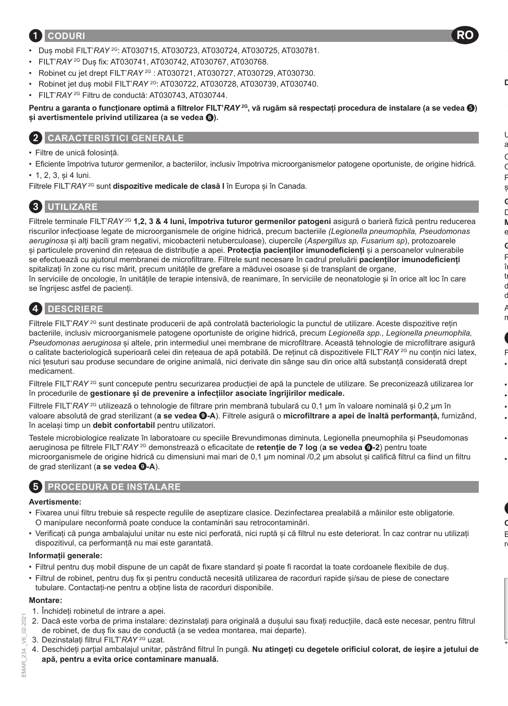# 1 **CODURI**

- Duș mobil FILT'*RAY* 2G: AT030715, AT030723, AT030724, AT030725, AT030781.
- FILT'*RAY* 2G Duș fix: AT030741, AT030742, AT030767, AT030768.
- Robinet cu jet drept FILT'*RAY* 2G : AT030721, AT030727, AT030729, AT030730.
- Robinet jet duș mobil FILT'*RAY* 2G: AT030722, AT030728, AT030739, AT030740.
- FILT'*RAY* 2G Filtru de conductă: AT030743, AT030744.

**Pentru a garanta o funcționare optimă a filtrelor FILT'***RAY* **2G, vă rugăm să respectați procedura de instalare (a se vedea ) și avertismentele privind utilizarea (a se vedea** 6**).**

# 2 **CARACTERISTICI GENERALE**

- Filtre de unică folosință.
- Eficiente împotriva tuturor germenilor, a bacteriilor, inclusiv împotriva microorganismelor patogene oportuniste, de origine hidrică.
- 1, 2, 3, și 4 luni.

Filtrele FILT'*RAY* 2G sunt **dispozitive medicale de clasă I** în Europa și în Canada.

# 3 **UTILIZARE**

Filtrele terminale FILT'*RAY* 2G **1,2, 3 & 4 luni, împotriva tuturor germenilor patogeni** asigură o barieră fizică pentru reducerea riscurilor infecțioase legate de microorganismele de origine hidrică, precum bacteriile *(Legionella pneumophila, Pseudomonas aeruginosa* și alți bacili gram negativi, micobacterii netuberculoase), ciupercile (*Aspergillus sp, Fusarium sp*), protozoarele și particulele provenind din rețeaua de distribuție a apei. **Protecția pacienților imunodeficienți** și a persoanelor vulnerabile se efectuează cu ajutorul membranei de microfiltrare. Filtrele sunt necesare în cadrul preluării **pacienților imunodeficienți** spitalizați în zone cu risc mărit, precum unitățile de grefare a măduvei osoase și de transplant de organe, în serviciile de oncologie, în unitățile de terapie intensivă, de reanimare, în serviciile de neonatologie și în orice alt loc în care se îngrijesc astfel de pacienți.

# 4 **DESCRIERE**

Filtrele FILT'*RAY* <sup>2G</sup> sunt destinate producerii de apă controlată bacteriologic la punctul de utilizare. Aceste dispozitive retin bacteriile, inclusiv microorganismele patogene oportuniste de origine hidrică, precum *Legionella spp., Legionella pneumophila, Pseudomonas aeruginosa* și altele, prin intermediul unei membrane de microfiltrare. Această tehnologie de microfiltrare asigură o calitate bacteriologică superioară celei din rețeaua de apă potabilă. De reținut că dispozitivele FILT'*RAY* 2G nu conțin nici latex, nici țesuturi sau produse secundare de origine animală, nici derivate din sânge sau din orice altă substanță considerată drept medicament.

Filtrele FILT'*RAY* <sup>2G</sup> sunt concepute pentru securizarea productiei de apă la punctele de utilizare. Se preconizează utilizarea lor în procedurile de **gestionare și de prevenire a infecțiilor asociate îngrijirilor medicale.**

Filtrele FILT'*RAY* <sup>2G</sup> utilizează o tehnologie de filtrare prin membrană tubulară cu 0,1 µm în valoare nominală și 0,2 µm în valoare absolută de grad sterilizant (**a se vedea** 9**-A**). Filtrele asigură o **microfiltrare a apei de înaltă performanță,** furnizând, în același timp un **debit confortabil** pentru utilizatori.

Testele microbiologice realizate în laboratoare cu speciile Brevundimonas diminuta, Legionella pneumophila și Pseudomonas aeruginosa pe filtrele FILT'*RAY* 2G demonstrează o eficacitate de **retenție de 7 log** (**a se vedea** 9**-2**) pentru toate microorganismele de origine hidrică cu dimensiuni mai mari de 0,1 µm nominal /0,2 μm absolut și califică filtrul ca fiind un filtru de grad sterilizant (a se vedea  $Q-A$ ).

# 5 **PROCEDURA DE INSTALARE**

### **Avertismente:**

- Fixarea unui filtru trebuie să respecte regulile de aseptizare clasice. Dezinfectarea prealabilă a mâinilor este obligatorie. O manipulare neconformă poate conduce la contaminări sau retrocontaminări.
- Verificați că punga ambalajului unitar nu este nici perforată, nici ruptă și că filtrul nu este deteriorat. În caz contrar nu utilizați dispozitivul, ca performanță nu mai este garantată.

### **Informații generale:**

- Filtrul pentru duș mobil dispune de un capăt de fixare standard și poate fi racordat la toate cordoanele flexibile de duș.
- Filtrul de robinet, pentru duș fix și pentru conductă necesită utilizarea de racorduri rapide și/sau de piese de conectare tubulare. Contactați-ne pentru a obține lista de racorduri disponibile.

### **Montare:**

- 1. Închideți robinetul de intrare a apei.
- 2. Dacă este vorba de prima instalare: dezinstalați para originală a dușului sau fixați reducțiile, dacă este necesar, pentru filtrul de robinet, de duș fix sau de conductă (a se vedea montarea, mai departe).
- 3. Dezinstalați filtrul FILT'*RAY* 2G uzat.
- 4. Deschideți parțial ambalajul unitar, păstrând filtrul în pungă. **Nu atingeți cu degetele orificiul colorat, de ieșire a jetului de apă, pentru a evita orice contaminare manuală.**

02-2021

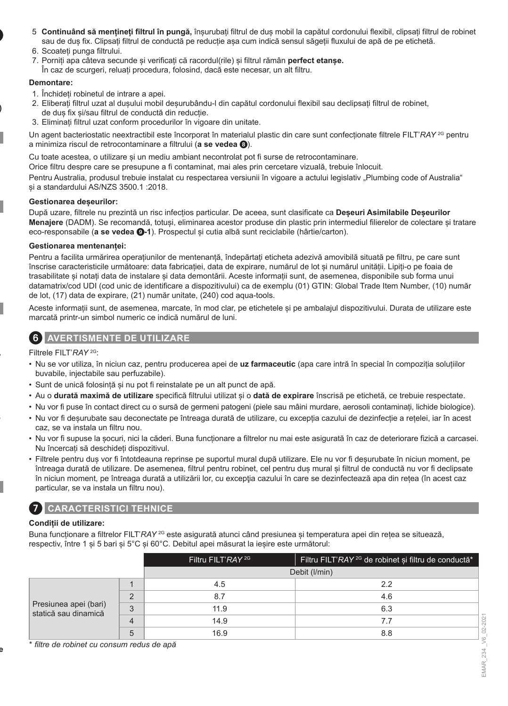- 5. **Continuând să mențineți filtrul în pungă,** înșurubați filtrul de duș mobil la capătul cordonului flexibil, clipsați filtrul de robinet sau de duș fix. Clipsați filtrul de conductă pe reducție așa cum indică sensul săgeții fluxului de apă de pe etichetă.
- 6. Scoateți punga filtrului.
- 7. Porniți apa câteva secunde și verificați că racordul(rile) și filtrul rămân **perfect etanșe.**
- În caz de scurgeri, reluați procedura, folosind, dacă este necesar, un alt filtru.

#### **Demontare:**

- 1. Închideți robinetul de intrare a apei.
- 2. Eliberați filtrul uzat al dușului mobil deșurubându-l din capătul cordonului flexibil sau declipsați filtrul de robinet, de duș fix și/sau filtrul de conductă din reducție.
- 3. Eliminați filtrul uzat conform procedurilor în vigoare din unitate.

Un agent bacteriostatic neextractibil este încorporat în materialul plastic din care sunt confecționate filtrele FILT'*RAY* 2G pentru a minimiza riscul de retrocontaminare a filtrului (**a se vedea** 8).

Cu toate acestea, o utilizare și un mediu ambiant necontrolat pot fi surse de retrocontaminare.

Orice filtru despre care se presupune a fi contaminat, mai ales prin cercetare vizuală, trebuie înlocuit.

Pentru Australia, produsul trebuie instalat cu respectarea versiunii în vigoare a actului legislativ "Plumbing code of Australia" și a standardului AS/NZS 3500.1 :2018.

#### **Gestionarea deșeurilor:**

După uzare, filtrele nu prezintă un risc infecțios particular. De aceea, sunt clasificate ca **Deșeuri Asimilabile Deșeurilor Menajere** (DADM). Se recomandă, totuși, eliminarea acestor produse din plastic prin intermediul filierelor de colectare și tratare eco-responsabile (**a se vedea** 9**-1**). Prospectul și cutia albă sunt reciclabile (hârtie/carton).

### **Gestionarea mentenanței:**

Pentru a facilita urmărirea operațiunilor de mentenanță, îndepărtați eticheta adezivă amovibilă situată pe filtru, pe care sunt înscrise caracteristicile următoare: data fabricației, data de expirare, numărul de lot și numărul unității. Lipiți-o pe foaia de trasabilitate și notați data de instalare și data demontării. Aceste informații sunt, de asemenea, disponibile sub forma unui datamatrix/cod UDI (cod unic de identificare a dispozitivului) ca de exemplu (01) GTIN: Global Trade Item Number, (10) număr de lot, (17) data de expirare, (21) număr unitate, (240) cod aqua-tools.

Aceste informații sunt, de asemenea, marcate, în mod clar, pe etichetele și pe ambalajul dispozitivului. Durata de utilizare este marcată printr-un simbol numeric ce indică numărul de luni.

### 6 **AVERTISMENTE DE UTILIZARE**

Filtrele FILT'*RAY* 2G:

- Nu se vor utiliza, în niciun caz, pentru producerea apei de **uz farmaceutic** (apa care intră în special în compoziția soluțiilor buvabile, injectabile sau perfuzabile).
- Sunt de unică folosință și nu pot fi reinstalate pe un alt punct de apă.
- Au o **durată maximă de utilizare** specifică filtrului utilizat și o **dată de expirare** înscrisă pe etichetă, ce trebuie respectate.
- Nu vor fi puse în contact direct cu o sursă de germeni patogeni (piele sau mâini murdare, aerosoli contaminați, lichide biologice).
- Nu vor fi deșurubate sau deconectate pe întreaga durată de utilizare, cu excepția cazului de dezinfecție a rețelei, iar în acest caz, se va instala un filtru nou.
- Nu vor fi supuse la șocuri, nici la căderi. Buna funcționare a filtrelor nu mai este asigurată în caz de deteriorare fizică a carcasei. Nu încercați să deschideți dispozitivul.
- Filtrele pentru duș vor fi întotdeauna reprinse pe suportul mural după utilizare. Ele nu vor fi deșurubate în niciun moment, pe întreaga durată de utilizare. De asemenea, filtrul pentru robinet, cel pentru duș mural și filtrul de conductă nu vor fi declipsate în niciun moment, pe întreaga durată a utilizării lor, cu excepţia cazului în care se dezinfectează apa din rețea (în acest caz particular, se va instala un filtru nou).

### 7 **CARACTERISTICI TEHNICE**

### **Condiții de utilizare:**

Buna functionare a filtrelor FILT<sup>'</sup>RAY<sup>2G</sup> este asigurată atunci când presiunea și temperatura apei din rețea se situează, respectiv, între 1 și 5 bari și 5°C și 60°C. Debitul apei măsurat la ieșire este următorul:

|                                               |                | Filtru FILT'RAY <sup>2G</sup> | Filtru FILT'RAY <sup>2G</sup> de robinet si filtru de conductă <sup>*</sup> |
|-----------------------------------------------|----------------|-------------------------------|-----------------------------------------------------------------------------|
|                                               |                |                               | Debit (I/min)                                                               |
|                                               |                | 4.5                           | 22                                                                          |
|                                               | $\Omega$       | 8.7                           | 4.6                                                                         |
| Presiunea apei (bari)<br>statică sau dinamică | 3              | 11.9                          | 6.3                                                                         |
|                                               | $\overline{4}$ | 14.9                          | 7.7                                                                         |
|                                               | 5              | 16.9                          | 8.8                                                                         |

\* *filtre de robinet cu consum redus de apă*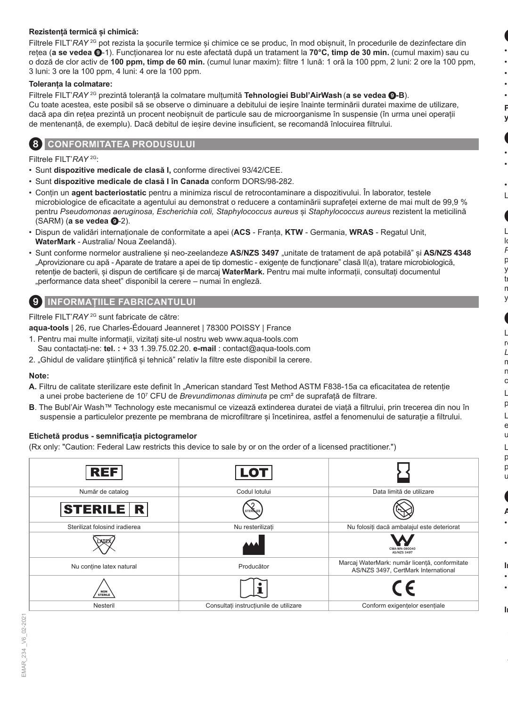### **Rezistență termică și chimică:**

Filtrele FILT'*RAY* <sup>2G</sup> pot rezista la socurile termice și chimice ce se produc, în mod obișnuit, în procedurile de dezinfectare din rețea (**a se vedea** 9-1). Funcționarea lor nu este afectată după un tratament la **70°C, timp de 30 min.** (cumul maxim) sau cu o doză de clor activ de **100 ppm, timp de 60 min.** (cumul lunar maxim): filtre 1 lună: 1 oră la 100 ppm, 2 luni: 2 ore la 100 ppm, 3 luni: 3 ore la 100 ppm, 4 luni: 4 ore la 100 ppm.

#### **Toleranța la colmatare:**

Filtrele FILT'*RAY* 2G prezintă toleranță la colmatare mulțumită **Tehnologiei Bubl'AirWash** (**a se vedea** 9**-B**). Cu toate acestea, este posibil să se observe o diminuare a debitului de ieșire înainte terminării duratei maxime de utilizare, dacă apa din retea prezintă un procent neobisnuit de particule sau de microorganisme în suspensie (în urma unei operații de mentenanță, de exemplu). Dacă debitul de ieșire devine insuficient, se recomandă înlocuirea filtrului.

### 8 **CONFORMITATEA PRODUSULUI**

Filtrele FILT'*RAY* 2G:

- Sunt **dispozitive medicale de clasă I,** conforme directivei 93/42/CEE.
- Sunt **dispozitive medicale de clasă I în Canada** conform DORS/98-282.
- Conțin un **agent bacteriostatic** pentru a minimiza riscul de retrocontaminare a dispozitivului. În laborator, testele microbiologice de eficacitate a agentului au demonstrat o reducere a contaminării suprafeței externe de mai mult de 99,9 % pentru *Pseudomonas aeruginosa, Escherichia coli, Staphylococcus aureus* și *Staphylococcus aureus* rezistent la meticilină (SARM) (**a se vedea <b>@**-2).
- Dispun de validări internaționale de conformitate a apei (**ACS**  Franța, **KTW**  Germania, **WRAS**  Regatul Unit, **WaterMark** - Australia/ Noua Zeelandă).
- Sunt conforme normelor australiene și neo-zeelandeze **AS/NZS 3497** "unitate de tratament de apă potabilă" și **AS/NZS 4348** "Aprovizionare cu apă - Aparate de tratare a apei de tip domestic - exigențe de funcționare" clasă II(a), tratare microbiologică, retenție de bacterii, și dispun de certificare și de marcaj **WaterMark.** Pentru mai multe informații, consultați documentul "performance data sheet" disponibil la cerere – numai în engleză.

### 9 **INFORMAȚIILE FABRICANTULUI**

Filtrele FILT'*RAY* 2G sunt fabricate de către:

**aqua-tools** | 26, rue Charles-Édouard Jeanneret | 78300 POISSY | France

- 1. Pentru mai multe informații, vizitați site-ul nostru web www.aqua-tools.com
- Sau contactați-ne: **tel. :** + 33 1.39.75.02.20. **e-mail** : contact@aqua-tools.com
- 2. "Ghidul de validare științifică și tehnică" relativ la filtre este disponibil la cerere.

### **Note:**

- **A.** Filtru de calitate sterilizare este definit în "American standard Test Method ASTM F838-15a ca eficacitatea de retenție a unei probe bacteriene de 10<sup>7</sup> CFU de *Brevundimonas diminuta* pe cm² de suprafață de filtrare.
- **B**. The Bubl'Air Wash™ Technology este mecanismul ce vizează extinderea duratei de viață a filtrului, prin trecerea din nou în suspensie a particulelor prezente pe membrana de microfiltrare și încetinirea, astfel a fenomenului de saturație a filtrului.

#### **Etichetă produs - semnificația pictogramelor**

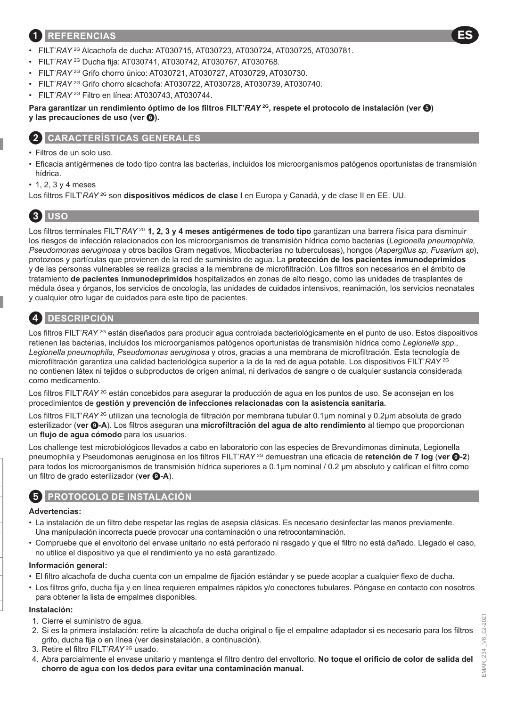### 1 **REFERENCIAS**

- FILT'*RAY* 2G Alcachofa de ducha: AT030715, AT030723, AT030724, AT030725, AT030781.
- FILT'*RAY* 2G Ducha fija: AT030741, AT030742, AT030767, AT030768.
- FILT'*RAY* 2G Grifo chorro único: AT030721, AT030727, AT030729, AT030730.
- FILT'*RAY* 2G Grifo chorro alcachofa: AT030722, AT030728, AT030739, AT030740.
- FILT'*RAY* 2G Filtro en línea: AT030743, AT030744.

### **Para garantizar un rendimiento óptimo de los filtros FILT'***RAY* **2G, respete el protocolo de instalación (ver ) y** las precauciones de uso (ver  $\odot$ ).

### 2 **CARACTERÍSTICAS GENERALES**

- Filtros de un solo uso.
- Eficacia antigérmenes de todo tipo contra las bacterias, incluidos los microorganismos patógenos oportunistas de transmisión hídrica.
- 1, 2, 3 y 4 meses
- Los filtros FILT'*RAY* 2G son **dispositivos médicos de clase I** en Europa y Canadá, y de clase II en EE. UU.

# 3 **USO**

Los filtros terminales FILT'*RAY* 2G **1, 2, 3 y 4 meses antigérmenes de todo tipo** garantizan una barrera física para disminuir los riesgos de infección relacionados con los microorganismos de transmisión hídrica como bacterias (*Legionella pneumophila, Pseudomonas aeruginosa* y otros bacilos Gram negativos, Micobacterias no tuberculosas), hongos (*Aspergillus sp, Fusarium sp*), protozoos y partículas que provienen de la red de suministro de agua. La **protección de los pacientes inmunodeprimidos** y de las personas vulnerables se realiza gracias a la membrana de microfiltración. Los filtros son necesarios en el ámbito de tratamiento **de pacientes inmunodeprimidos** hospitalizados en zonas de alto riesgo, como las unidades de trasplantes de médula ósea y órganos, los servicios de oncología, las unidades de cuidados intensivos, reanimación, los servicios neonatales y cualquier otro lugar de cuidados para este tipo de pacientes.



## 4 **DESCRIPCIÓN**

Los filtros FILT'*RAY* <sup>2G</sup> están diseñados para producir agua controlada bacteriológicamente en el punto de uso. Estos dispositivos retienen las bacterias, incluidos los microorganismos patógenos oportunistas de transmisión hídrica como *Legionella spp., Legionella pneumophila, Pseudomonas aeruginosa* y otros, gracias a una membrana de microfiltración. Esta tecnología de microfiltración garantiza una calidad bacteriológica superior a la de la red de agua potable. Los dispositivos FILT'*RAY* 2G no contienen látex ni tejidos o subproductos de origen animal, ni derivados de sangre o de cualquier sustancia considerada como medicamento.

Los filtros FILT'*RAY* <sup>2G</sup> están concebidos para asegurar la producción de agua en los puntos de uso. Se aconsejan en los procedimientos de **gestión y prevención de infecciones relacionadas con la asistencia sanitaria.**

Los filtros FILT'*RAY* 2G utilizan una tecnología de filtración por membrana tubular 0.1µm nominal y 0.2µm absoluta de grado esterilizador (**ver** 9**-A**). Los filtros aseguran una **microfiltración del agua de alto rendimiento** al tiempo que proporcionan un **flujo de agua cómodo** para los usuarios.

Los challenge test microbiológicos llevados a cabo en laboratorio con las especies de Brevundimonas diminuta, Legionella pneumophila y Pseudomonas aeruginosa en los filtros FILT'*RAY* 2G demuestran una eficacia de **retención de 7 log** (**ver** 9**-2**) para todos los microorganismos de transmisión hídrica superiores a 0.1µm nominal / 0.2 μm absoluto y califican el filtro como un filtro de grado esterilizador (ver **@-A**).

# 5 **PROTOCOLO DE INSTALACIÓN**

### **Advertencias:**

- La instalación de un filtro debe respetar las reglas de asepsia clásicas. Es necesario desinfectar las manos previamente. Una manipulación incorrecta puede provocar una contaminación o una retrocontaminación.
- Compruebe que el envoltorio del envase unitario no está perforado ni rasgado y que el filtro no está dañado. Llegado el caso, no utilice el dispositivo ya que el rendimiento ya no está garantizado.

### **Información general:**

- El filtro alcachofa de ducha cuenta con un empalme de fijación estándar y se puede acoplar a cualquier flexo de ducha.
- Los filtros grifo, ducha fija y en línea requieren empalmes rápidos y/o conectores tubulares. Póngase en contacto con nosotros para obtener la lista de empalmes disponibles.

#### **Instalación:**

- 1. Cierre el suministro de agua.
- 2. Si es la primera instalación: retire la alcachofa de ducha original o fije el empalme adaptador si es necesario para los filtros grifo, ducha fija o en línea (ver desinstalación, a continuación).
- 3. Retire el filtro FILT'*RAY* 2G usado.
- 4. Abra parcialmente el envase unitario y mantenga el filtro dentro del envoltorio. **No toque el orificio de color de salida del chorro de agua con los dedos para evitar una contaminación manual.**

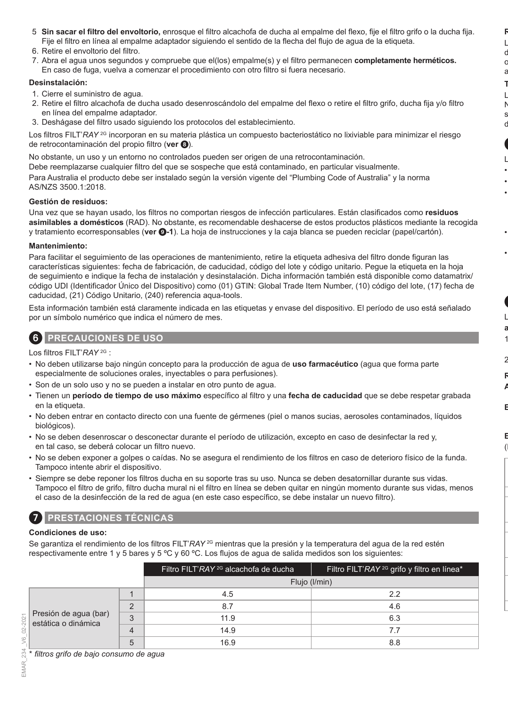- 5. **Sin sacar el filtro del envoltorio,** enrosque el filtro alcachofa de ducha al empalme del flexo, fije el filtro grifo o la ducha fija. Fije el filtro en línea al empalme adaptador siguiendo el sentido de la flecha del flujo de agua de la etiqueta.
- 6. Retire el envoltorio del filtro.
- 7. Abra el agua unos segundos y compruebe que el(los) empalme(s) y el filtro permanecen **completamente herméticos.**  En caso de fuga, vuelva a comenzar el procedimiento con otro filtro si fuera necesario.

#### **Desinstalación:**

- 1. Cierre el suministro de agua.
- 2. Retire el filtro alcachofa de ducha usado desenroscándolo del empalme del flexo o retire el filtro grifo, ducha fija y/o filtro en línea del empalme adaptador.
- 3. Deshágase del filtro usado siguiendo los protocolos del establecimiento.

Los filtros FILT'*RAY* <sup>2G</sup> incorporan en su materia plástica un compuesto bacteriostático no lixiviable para minimizar el riesgo de retrocontaminación del propio filtro (**ver** 8).

No obstante, un uso y un entorno no controlados pueden ser origen de una retrocontaminación.

Debe reemplazarse cualquier filtro del que se sospeche que está contaminado, en particular visualmente. Para Australia el producto debe ser instalado según la versión vigente del "Plumbing Code of Australia" y la norma AS/NZS 3500.1:2018.

#### **Gestión de residuos:**

Una vez que se hayan usado, los filtros no comportan riesgos de infección particulares. Están clasificados como **residuos asimilables a domésticos** (RAD). No obstante, es recomendable deshacerse de estos productos plásticos mediante la recogida y tratamiento ecorresponsables (**ver** 9**-1**). La hoja de instrucciones y la caja blanca se pueden reciclar (papel/cartón).

#### **Mantenimiento:**

Para facilitar el seguimiento de las operaciones de mantenimiento, retire la etiqueta adhesiva del filtro donde figuran las características siguientes: fecha de fabricación, de caducidad, código del lote y código unitario. Pegue la etiqueta en la hoja de seguimiento e indique la fecha de instalación y desinstalación. Dicha información también está disponible como datamatrix/ código UDI (Identificador Único del Dispositivo) como (01) GTIN: Global Trade Item Number, (10) código del lote, (17) fecha de caducidad, (21) Código Unitario, (240) referencia aqua-tools.

Esta información también está claramente indicada en las etiquetas y envase del dispositivo. El período de uso está señalado por un símbolo numérico que indica el número de mes.



6 **PRECAUCIONES DE USO**

Los filtros FILT'*RAY* 2G :

- No deben utilizarse bajo ningún concepto para la producción de agua de **uso farmacéutico** (agua que forma parte especialmente de soluciones orales, inyectables o para perfusiones).
- Son de un solo uso y no se pueden a instalar en otro punto de agua.
- Tienen un **período de tiempo de uso máximo** específico al filtro y una **fecha de caducidad** que se debe respetar grabada en la etiqueta.
- No deben entrar en contacto directo con una fuente de gérmenes (piel o manos sucias, aerosoles contaminados, líquidos biológicos).
- No se deben desenroscar o desconectar durante el período de utilización, excepto en caso de desinfectar la red y, en tal caso, se deberá colocar un filtro nuevo.
- No se deben exponer a golpes o caídas. No se asegura el rendimiento de los filtros en caso de deterioro físico de la funda. Tampoco intente abrir el dispositivo.
- Siempre se debe reponer los filtros ducha en su soporte tras su uso. Nunca se deben desatornillar durante sus vidas. Tampoco el filtro de grifo, filtro ducha mural ni el filtro en línea se deben quitar en ningún momento durante sus vidas, menos el caso de la desinfección de la red de agua (en este caso específico, se debe instalar un nuevo filtro).

# **Condiciones de uso:**

7 **PRESTACIONES TÉCNICAS**

Se garantiza el rendimiento de los filtros FILT'*RAY* <sup>2G</sup> mientras que la presión y la temperatura del agua de la red estén respectivamente entre 1 y 5 bares y 5 ºC y 60 ºC. Los flujos de agua de salida medidos son los siguientes:

|                                              |          | Filtro FILT'RAY <sup>2G</sup> alcachofa de ducha | Filtro FILT'RAY <sup>2G</sup> grifo y filtro en línea <sup>*</sup> |
|----------------------------------------------|----------|--------------------------------------------------|--------------------------------------------------------------------|
|                                              |          | Flujo (I/min)                                    |                                                                    |
|                                              |          | 4.5                                              | 22                                                                 |
|                                              | $\Omega$ | 8.7                                              | 4.6                                                                |
| Presión de agua (bar)<br>estática o dinámica | 3        | 11.9                                             | 6.3                                                                |
|                                              |          | 14.9                                             | 7.7                                                                |
|                                              | h        | 16.9                                             | 8.8                                                                |

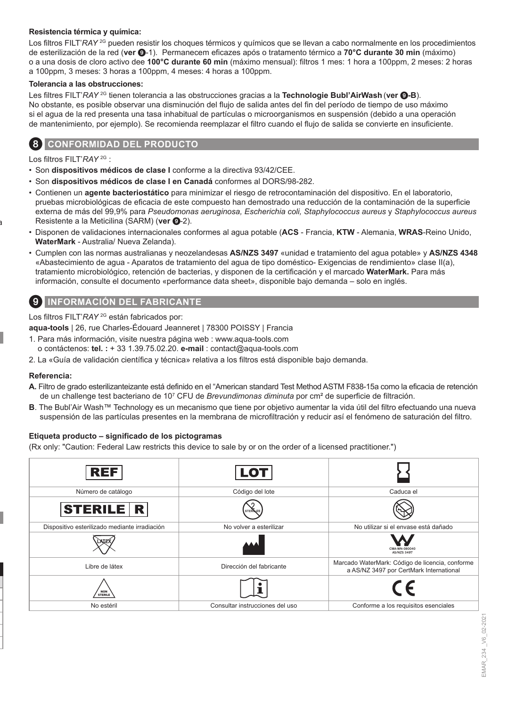### **Resistencia térmica y química:**

Los filtros FILT'*RAY* <sup>2G</sup> pueden resistir los choques térmicos y químicos que se llevan a cabo normalmente en los procedimientos de esterilización de la red (**ver** 9-1). Permanecem eficazes após o tratamento térmico a **70°C durante 30 min** (máximo) o a una dosis de cloro activo dee **100°C durante 60 min** (máximo mensual): filtros 1 mes: 1 hora a 100ppm, 2 meses: 2 horas a 100ppm, 3 meses: 3 horas a 100ppm, 4 meses: 4 horas a 100ppm.

#### **Tolerancia a las obstrucciones:**

Les filtres FILT'*RAY* 2G tienen tolerancia a las obstrucciones gracias a la **Technologie Bubl'AirWash** (**ver** 9**-B**). No obstante, es posible observar una disminución del flujo de salida antes del fin del período de tiempo de uso máximo si el agua de la red presenta una tasa inhabitual de partículas o microorganismos en suspensión (debido a una operación de mantenimiento, por ejemplo). Se recomienda reemplazar el filtro cuando el flujo de salida se convierte en insuficiente.

### 8 **CONFORMIDAD DEL PRODUCTO**

Los filtros FILT'*RAY* 2G :

- Son **dispositivos médicos de clase I** conforme a la directiva 93/42/CEE.
- Son **dispositivos médicos de clase I en Canadá** conformes al DORS/98-282.
- Contienen un **agente bacteriostático** para minimizar el riesgo de retrocontaminación del dispositivo. En el laboratorio, pruebas microbiológicas de eficacia de este compuesto han demostrado una reducción de la contaminación de la superficie externa de más del 99,9% para *Pseudomonas aeruginosa, Escherichia coli, Staphylococcus aureus* y *Staphylococcus aureus* Resistente a la Meticilina (SARM) (ver **0**-2).
- Disponen de validaciones internacionales conformes al agua potable (**ACS**  Francia, **KTW**  Alemania, **WRAS**-Reino Unido, **WaterMark** - Australia/ Nueva Zelanda).
- Cumplen con las normas australianas y neozelandesas **AS/NZS 3497** «unidad e tratamiento del agua potable» y **AS/NZS 4348** «Abastecimiento de agua - Aparatos de tratamiento del agua de tipo doméstico- Exigencias de rendimiento» clase II(a), tratamiento microbiológico, retención de bacterias, y disponen de la certificación y el marcado **WaterMark.** Para más información, consulte el documento «performance data sheet», disponible bajo demanda – solo en inglés.

### 9 **INFORMACIÓN DEL FABRICANTE**

Los filtros FILT'*RAY* 2G están fabricados por:

**aqua-tools** | 26, rue Charles-Édouard Jeanneret | 78300 POISSY | Francia

- 1. Para más información, visite nuestra página web : www.aqua-tools.com o contáctenos: **tel. :** + 33 1.39.75.02.20. **e-mail** : contact@aqua-tools.com
- 2. La «Guía de validación científica y técnica» relativa a los filtros está disponible bajo demanda.

### **Referencia:**

- **A.** Filtro de grado esterilizanteizante está definido en el "American standard Test Method ASTM F838-15a como la eficacia de retención de un challenge test bacteriano de 10<sup>7</sup> CFU de *Brevundimonas diminuta* por cm² de superficie de filtración.
- **B**. The Bubl'Air Wash™ Technology es un mecanismo que tiene por objetivo aumentar la vida útil del filtro efectuando una nueva suspensión de las partículas presentes en la membrana de microfiltración y reducir así el fenómeno de saturación del filtro.

#### **Etiqueta producto – significado de los pictogramas**

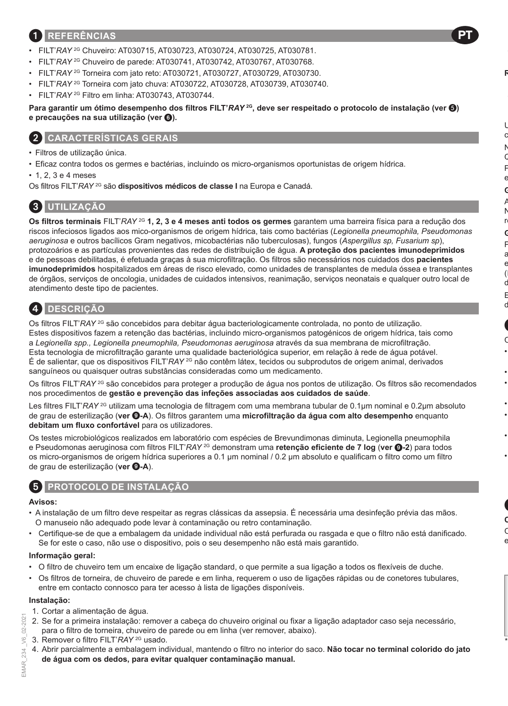## 1 **REFERÊNCIAS**

- FILT'*RAY* 2G Chuveiro: AT030715, AT030723, AT030724, AT030725, AT030781.
- FILT'*RAY* 2G Chuveiro de parede: AT030741, AT030742, AT030767, AT030768.
- FILT'*RAY* 2G Torneira com jato reto: AT030721, AT030727, AT030729, AT030730.
- FILT'*RAY* 2G Torneira com jato chuva: AT030722, AT030728, AT030739, AT030740.
- FILT'*RAY* 2G Filtro em linha: AT030743, AT030744.

**Para garantir um ótimo desempenho dos filtros FILT'***RAY* **2G, deve ser respeitado o protocolo de instalação (ver ) e precauções na sua utilização (ver** 6**).**

# 2 **CARACTERÍSTICAS GERAIS**

- Filtros de utilização única.
- Eficaz contra todos os germes e bactérias, incluindo os micro-organismos oportunistas de origem hídrica.
- 1, 2, 3 e 4 meses

Os filtros FILT'*RAY* 2G são **dispositivos médicos de classe I** na Europa e Canadá.

# 3 **UTILIZAÇÃO**

**Os filtros terminais** FILT'*RAY* 2G **1, 2, 3 e 4 meses anti todos os germes** garantem uma barreira física para a redução dos riscos infeciosos ligados aos mico-organismos de origem hídrica, tais como bactérias (*Legionella pneumophila, Pseudomonas aeruginosa* e outros bacílicos Gram negativos, micobactérias não tuberculosas), fungos (*Aspergillus sp, Fusarium sp*), protozoários e as partículas provenientes das redes de distribuição de água. **A proteção dos pacientes imunodeprimidos** e de pessoas debilitadas, é efetuada graças à sua microfiltração. Os filtros são necessários nos cuidados dos **pacientes imunodeprimidos** hospitalizados em áreas de risco elevado, como unidades de transplantes de medula óssea e transplantes de órgãos, serviços de oncologia, unidades de cuidados intensivos, reanimação, serviços neonatais e qualquer outro local de atendimento deste tipo de pacientes.

# 4 **DESCRIÇÃO**

Os filtros FILT'*RAY* <sup>2G</sup> são concebidos para debitar água bacteriologicamente controlada, no ponto de utilização. Estes dispositivos fazem a retenção das bactérias, incluindo micro-organismos patogénicos de origem hídrica, tais como a *Legionella spp., Legionella pneumophila, Pseudomonas aeruginosa* através da sua membrana de microfiltração. Esta tecnologia de microfiltração garante uma qualidade bacteriológica superior, em relação à rede de água potável. É de salientar, que os dispositivos FILT'*RAY* 2G não contêm látex, tecidos ou subprodutos de origem animal, derivados sanguíneos ou quaisquer outras substâncias consideradas como um medicamento.

Os filtros FILT'*RAY* 2G são concebidos para proteger a produção de água nos pontos de utilização. Os filtros são recomendados nos procedimentos de **gestão e prevenção das infeções associadas aos cuidados de saúde**.

Les filtres FILT'*RAY*<sup>2G</sup> utilizam uma tecnologia de filtragem com uma membrana tubular de 0.1μm nominal e 0.2μm absoluto de grau de esterilização (**ver** 9**-A**). Os filtros garantem uma **microfiltração da água com alto desempenho** enquanto **debitam um fluxo confortável** para os utilizadores.

Os testes microbiológicos realizados em laboratório com espécies de Brevundimonas diminuta, Legionella pneumophila e Pseudomonas aeruginosa com filtros FILT'*RAY* 2G demonstram uma **retenção eficiente de 7 log** (**ver** 9**-2**) para todos os micro-organismos de origem hídrica superiores a 0.1 μm nominal / 0.2 μm absoluto e qualificam o filtro como um filtro de grau de esterilização (ver **@-A**).



# 5 **PROTOCOLO DE INSTALAÇÃO**

### **Avisos:**

- A instalação de um filtro deve respeitar as regras clássicas da assepsia. É necessária uma desinfeção prévia das mãos. O manuseio não adequado pode levar à contaminação ou retro contaminação.
- Certifique-se de que a embalagem da unidade individual não está perfurada ou rasgada e que o filtro não está danificado. Se for este o caso, não use o dispositivo, pois o seu desempenho não está mais garantido.

### **Informação geral:**

- O filtro de chuveiro tem um encaixe de ligação standard, o que permite a sua ligação a todos os flexíveis de duche.
- Os filtros de torneira, de chuveiro de parede e em linha, requerem o uso de ligações rápidas ou de conetores tubulares, entre em contacto connosco para ter acesso à lista de ligações disponíveis.

### **Instalação:**

- 1. Cortar a alimentação de água.
- 2. Se for a primeira instalação: remover a cabeça do chuveiro original ou fixar a ligação adaptador caso seja necessário, para o filtro de torneira, chuveiro de parede ou em linha (ver remover, abaixo).
- 3. Remover o filtro FILT'*RAY* 2G usado.
- 4. Abrir parcialmente a embalagem individual, mantendo o filtro no interior do saco. **Não tocar no terminal colorido do jato de água com os dedos, para evitar qualquer contaminação manual.**

 $2021$ C-CU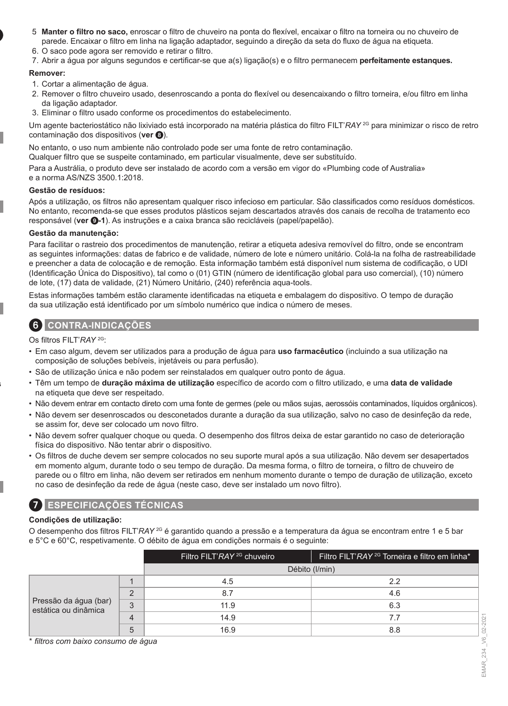- 5. **Manter o filtro no saco,** enroscar o filtro de chuveiro na ponta do flexível, encaixar o filtro na torneira ou no chuveiro de parede. Encaixar o filtro em linha na ligação adaptador, seguindo a direção da seta do fluxo de água na etiqueta.
- 6. O saco pode agora ser removido e retirar o filtro.
- 7. Abrir a água por alguns segundos e certificar-se que a(s) ligação(s) e o filtro permanecem **perfeitamente estanques.**

### **Remover:**

- 1. Cortar a alimentação de água.
- 2. Remover o filtro chuveiro usado, desenroscando a ponta do flexível ou desencaixando o filtro torneira, e/ou filtro em linha da ligação adaptador.
- 3. Eliminar o filtro usado conforme os procedimentos do estabelecimento.

Um agente bacteriostático não lixiviado está incorporado na matéria plástica do filtro FILT'*RAY* 2G para minimizar o risco de retro contaminação dos dispositivos (**ver** 8).

No entanto, o uso num ambiente não controlado pode ser uma fonte de retro contaminação.

Qualquer filtro que se suspeite contaminado, em particular visualmente, deve ser substituído.

Para a Austrália, o produto deve ser instalado de acordo com a versão em vigor do «Plumbing code of Australia» e a norma AS/NZS 3500.1:2018.

### **Gestão de resíduos:**

Após a utilização, os filtros não apresentam qualquer risco infecioso em particular. São classificados como resíduos domésticos. No entanto, recomenda-se que esses produtos plásticos sejam descartados através dos canais de recolha de tratamento eco responsável (**ver** 9**-1**). As instruções e a caixa branca são recicláveis (papel/papelão).

### **Gestão da manutenção:**

Para facilitar o rastreio dos procedimentos de manutenção, retirar a etiqueta adesiva removível do filtro, onde se encontram as seguintes informações: datas de fabrico e de validade, número de lote e número unitário. Colá-la na folha de rastreabilidade e preencher a data de colocação e de remoção. Esta informação também está disponível num sistema de codificação, o UDI (Identificação Única do Dispositivo), tal como o (01) GTIN (número de identificação global para uso comercial), (10) número de lote, (17) data de validade, (21) Número Unitário, (240) referência aqua-tools.

Estas informações também estão claramente identificadas na etiqueta e embalagem do dispositivo. O tempo de duração da sua utilização está identificado por um símbolo numérico que indica o número de meses.

# 6 **CONTRA-INDICAÇÕES**

Os filtros FILT'*RAY* 2G:

- Em caso algum, devem ser utilizados para a produção de água para **uso farmacêutico** (incluindo a sua utilização na composição de soluções bebíveis, injetáveis ou para perfusão).
- São de utilização única e não podem ser reinstalados em qualquer outro ponto de água.
- Têm um tempo de **duração máxima de utilização** específico de acordo com o filtro utilizado, e uma **data de validade** na etiqueta que deve ser respeitado.
- Não devem entrar em contacto direto com uma fonte de germes (pele ou mãos sujas, aerossóis contaminados, líquidos orgânicos).
- Não devem ser desenroscados ou desconetados durante a duração da sua utilização, salvo no caso de desinfeção da rede, se assim for, deve ser colocado um novo filtro.
- Não devem sofrer qualquer choque ou queda. O desempenho dos filtros deixa de estar garantido no caso de deterioração física do dispositivo. Não tentar abrir o dispositivo.
- Os filtros de duche devem ser sempre colocados no seu suporte mural após a sua utilização. Não devem ser desapertados em momento algum, durante todo o seu tempo de duração. Da mesma forma, o filtro de torneira, o filtro de chuveiro de parede ou o filtro em linha, não devem ser retirados em nenhum momento durante o tempo de duração de utilização, exceto no caso de desinfeção da rede de água (neste caso, deve ser instalado um novo filtro).

### 7 **ESPECIFICAÇÕES TÉCNICAS**

### **Condições de utilização:**

O desempenho dos filtros FILT'*RAY* 2G é garantido quando a pressão e a temperatura da água se encontram entre 1 e 5 bar e 5°C e 60°C, respetivamente. O débito de água em condições normais é o seguinte:

|                                               |   | Filtro FILT'RAY <sup>2G</sup> chuveiro | Filtro FILT'RAY <sup>2G</sup> Torneira e filtro em linha <sup>*</sup> |
|-----------------------------------------------|---|----------------------------------------|-----------------------------------------------------------------------|
|                                               |   |                                        | Débito (I/min)                                                        |
|                                               |   | 4.5                                    | 2.2                                                                   |
| Pressão da água (bar)<br>estática ou dinâmica |   | 8.7                                    | 4.6                                                                   |
|                                               | 3 | 11.9                                   | 6.3                                                                   |
|                                               | 4 | 14.9                                   |                                                                       |
|                                               | b | 16.9                                   | 8.8                                                                   |

\* *filtros com baixo consumo de água*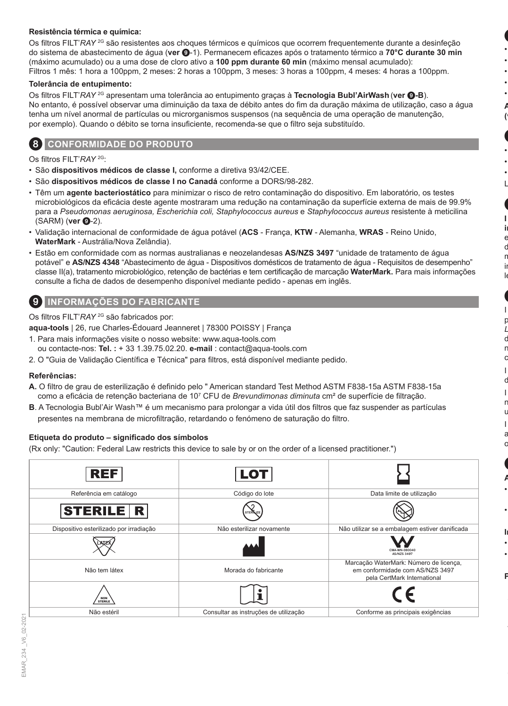### **Resistência térmica e química:**

Os filtros FILT'*RAY* 2G são resistentes aos choques térmicos e químicos que ocorrem frequentemente durante a desinfeção do sistema de abastecimento de água (**ver** 9-1). Permanecem eficazes após o tratamento térmico a **70°C durante 30 min**  (máximo acumulado) ou a uma dose de cloro ativo a **100 ppm durante 60 min** (máximo mensal acumulado): Filtros 1 mês: 1 hora a 100ppm, 2 meses: 2 horas a 100ppm, 3 meses: 3 horas a 100ppm, 4 meses: 4 horas a 100ppm.

#### **Tolerância de entupimento:**

Os filtros FILT'*RAY* 2G apresentam uma tolerância ao entupimento graças à **Tecnologia Bubl'AirWash** (**ver** 9**-B**). No entanto, é possível observar uma diminuição da taxa de débito antes do fim da duração máxima de utilização, caso a água tenha um nível anormal de partículas ou microrganismos suspensos (na sequência de uma operação de manutenção, por exemplo). Quando o débito se torna insuficiente, recomenda-se que o filtro seja substituído.

### 8 **CONFORMIDADE DO PRODUTO**

Os filtros FILT'*RAY* 2G:

- São **dispositivos médicos de classe I,** conforme a diretiva 93/42/CEE.
- São **dispositivos médicos de classe I no Canadá** conforme a DORS/98-282.
- Têm um **agente bacteriostático** para minimizar o risco de retro contaminação do dispositivo. Em laboratório, os testes microbiológicos da eficácia deste agente mostraram uma redução na contaminação da superfície externa de mais de 99.9% para a *Pseudomonas aeruginosa, Escherichia coli, Staphylococcus aureus* e *Staphylococcus aureus* resistente à meticilina (SARM) (**ver <b>@**-2).
- Validação internacional de conformidade de água potável (**ACS**  França, **KTW**  Alemanha, **WRAS**  Reino Unido, **WaterMark** - Austrália/Nova Zelândia).
- Estão em conformidade com as normas australianas e neozelandesas **AS/NZS 3497** "unidade de tratamento de água potável" e **AS/NZS 4348** "Abastecimento de água - Dispositivos domésticos de tratamento de água - Requisitos de desempenho" classe II(a), tratamento microbiológico, retenção de bactérias e tem certificação de marcação **WaterMark.** Para mais informações consulte a ficha de dados de desempenho disponível mediante pedido - apenas em inglês.

### 9 **INFORMAÇÕES DO FABRICANTE**

Os filtros FILT'*RAY* 2G são fabricados por:

**aqua-tools** | 26, rue Charles-Édouard Jeanneret | 78300 POISSY | França

- 1. Para mais informações visite o nosso website: www.aqua-tools.com ou contacte-nos: **Tel. :** + 33 1.39.75.02.20. **e-mail** : contact@aqua-tools.com
- 2. O "Guia de Validação Científica e Técnica" para filtros, está disponível mediante pedido.

### **Referências:**

- **A.** O filtro de grau de esterilização é definido pelo " American standard Test Method ASTM F838-15a ASTM F838-15a como a eficácia de retenção bacteriana de 10<sup>7</sup> CFU de *Brevundimonas diminuta* cm² de superfície de filtração.
- **B**. A Tecnologia Bubl'Air Wash™ é um mecanismo para prolongar a vida útil dos filtros que faz suspender as partículas presentes na membrana de microfiltração, retardando o fenómeno de saturação do filtro.

#### **Etiqueta do produto – significado dos símbolos**

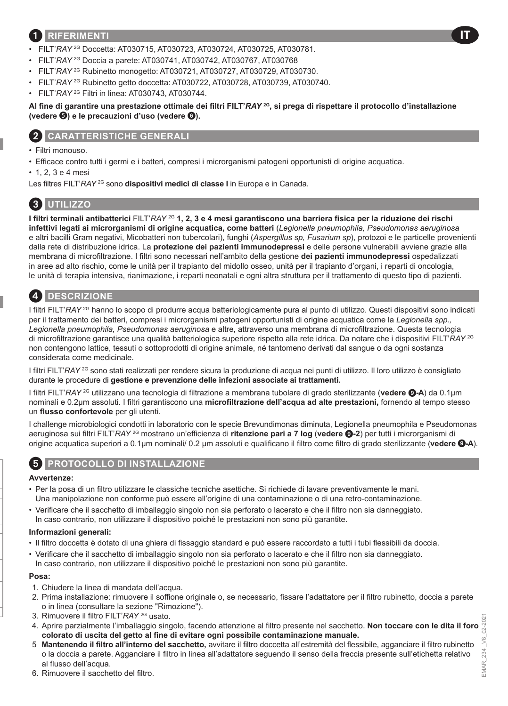### 1 **RIFERIMENTI**

- FILT'*RAY* 2G Doccetta: AT030715, AT030723, AT030724, AT030725, AT030781.
- FILT'*RAY* 2G Doccia a parete: AT030741, AT030742, AT030767, AT030768
- FILT'*RAY* 2G Rubinetto monogetto: AT030721, AT030727, AT030729, AT030730.
- FILT'*RAY* 2G Rubinetto getto doccetta: AT030722, AT030728, AT030739, AT030740.
- FILT'*RAY* 2G Filtri in linea: AT030743, AT030744.

**Al fine di garantire una prestazione ottimale dei filtri FILT'***RAY* **2G, si prega di rispettare il protocollo d'installazione (vedere ) e le precauzioni d'uso (vedere** 6**).**

### 2 **CARATTERISTICHE GENERALI**

- Filtri monouso.
- Efficace contro tutti i germi e i batteri, compresi i microrganismi patogeni opportunisti di origine acquatica.
- 1, 2, 3 e 4 mesi

Les filtres FILT'*RAY* 2G sono **dispositivi medici di classe I** in Europa e in Canada.

# 3 **UTILIZZO**

**I filtri terminali antibatterici** FILT'*RAY* 2G **1, 2, 3 e 4 mesi garantiscono una barriera fisica per la riduzione dei rischi infettivi legati ai microrganismi di origine acquatica, come batteri** (*Legionella pneumophila, Pseudomonas aeruginosa* e altri bacilli Gram negativi, Micobatteri non tubercolari), funghi (*Aspergillus sp, Fusarium sp*), protozoi e le particelle provenienti dalla rete di distribuzione idrica. La **protezione dei pazienti immunodepressi** e delle persone vulnerabili avviene grazie alla membrana di microfiltrazione. I filtri sono necessari nell'ambito della gestione **dei pazienti immunodepressi** ospedalizzati in aree ad alto rischio, come le unità per il trapianto del midollo osseo, unità per il trapianto d'organi, i reparti di oncologia, le unità di terapia intensiva, rianimazione, i reparti neonatali e ogni altra struttura per il trattamento di questo tipo di pazienti.

# 4 **DESCRIZIONE**

I filtri FILT'*RAY* 2G hanno lo scopo di produrre acqua batteriologicamente pura al punto di utilizzo. Questi dispositivi sono indicati per il trattamento dei batteri, compresi i microrganismi patogeni opportunisti di origine acquatica come la *Legionella spp., Legionella pneumophila, Pseudomonas aeruginosa* e altre, attraverso una membrana di microfiltrazione. Questa tecnologia di microfiltrazione garantisce una qualità batteriologica superiore rispetto alla rete idrica. Da notare che i dispositivi FILT'*RAY* 2G non contengono lattice, tessuti o sottoprodotti di origine animale, né tantomeno derivati dal sangue o da ogni sostanza considerata come medicinale.

I filtri FILT'*RAY* 2G sono stati realizzati per rendere sicura la produzione di acqua nei punti di utilizzo. Il loro utilizzo è consigliato durante le procedure di **gestione e prevenzione delle infezioni associate ai trattamenti.**

I filtri FILT'*RAY* 2G utilizzano una tecnologia di filtrazione a membrana tubolare di grado sterilizzante (**vedere** 9**-A**) da 0.1µm nominali e 0.2µm assoluti. I filtri garantiscono una **microfiltrazione dell'acqua ad alte prestazioni,** fornendo al tempo stesso un **flusso confortevole** per gli utenti.

I challenge microbiologici condotti in laboratorio con le specie Brevundimonas diminuta, Legionella pneumophila e Pseudomonas aeruginosa sui filtri FILT'*RAY* 2G mostrano un'efficienza di **ritenzione pari a 7 log** (**vedere** 9**-2**) per tutti i microrganismi di origine acquatica superiori a 0.1µm nominali/ 0.2 μm assoluti e qualificano il filtro come filtro di grado sterilizzante (**vedere** 9**-A**).

### **PROTOCOLLO DI INSTALLAZIONE**

#### **Avvertenze:**

- Per la posa di un filtro utilizzare le classiche tecniche asettiche. Si richiede di lavare preventivamente le mani. Una manipolazione non conforme può essere all'origine di una contaminazione o di una retro-contaminazione.
- Verificare che il sacchetto di imballaggio singolo non sia perforato o lacerato e che il filtro non sia danneggiato. In caso contrario, non utilizzare il dispositivo poiché le prestazioni non sono più garantite.

#### **Informazioni generali:**

- Il filtro doccetta è dotato di una ghiera di fissaggio standard e può essere raccordato a tutti i tubi flessibili da doccia.
- Verificare che il sacchetto di imballaggio singolo non sia perforato o lacerato e che il filtro non sia danneggiato.

In caso contrario, non utilizzare il dispositivo poiché le prestazioni non sono più garantite.

#### **Posa:**

- 1. Chiudere la linea di mandata dell'acqua.
- 2. Prima installazione: rimuovere il soffione originale o, se necessario, fissare l'adattatore per il filtro rubinetto, doccia a parete o in linea (consultare la sezione "Rimozione").
- 3. Rimuovere il filtro FILT'*RAY* 2G usato.
- 4. Aprire parzialmente l'imballaggio singolo, facendo attenzione al filtro presente nel sacchetto. **Non toccare con le dita il foro colorato di uscita del getto al fine di evitare ogni possibile contaminazione manuale.**
- 5. **Mantenendo il filtro all'interno del sacchetto,** avvitare il filtro doccetta all'estremità del flessibile, agganciare il filtro rubinetto o la doccia a parete. Agganciare il filtro in linea all'adattatore seguendo il senso della freccia presente sull'etichetta relativo al flusso dell'acqua.

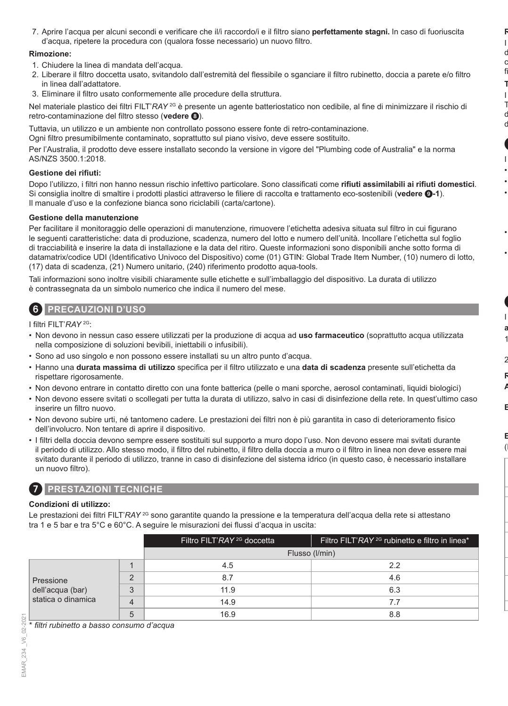7. Aprire l'acqua per alcuni secondi e verificare che il/i raccordo/i e il filtro siano **perfettamente stagni.** In caso di fuoriuscita d'acqua, ripetere la procedura con (qualora fosse necessario) un nuovo filtro.

#### **Rimozione:**

- 1. Chiudere la linea di mandata dell'acqua.
- 2. Liberare il filtro doccetta usato, svitandolo dall'estremità del flessibile o sganciare il filtro rubinetto, doccia a parete e/o filtro in linea dall'adattatore.
- 3. Eliminare il filtro usato conformemente alle procedure della struttura.

Nel materiale plastico dei filtri FILT'*RAY* <sup>2G</sup> è presente un agente batteriostatico non cedibile, al fine di minimizzare il rischio di retro-contaminazione del filtro stesso (**vedere** 8).

Tuttavia, un utilizzo e un ambiente non controllato possono essere fonte di retro-contaminazione.

Ogni filtro presumibilmente contaminato, soprattutto sul piano visivo, deve essere sostituito.

Per l'Australia, il prodotto deve essere installato secondo la versione in vigore del "Plumbing code of Australia" e la norma AS/NZS 3500.1:2018.

#### **Gestione dei rifiuti:**

Dopo l'utilizzo, i filtri non hanno nessun rischio infettivo particolare. Sono classificati come **rifiuti assimilabili ai rifiuti domestici**. Si consiglia inoltre di smaltire i prodotti plastici attraverso le filiere di raccolta e trattamento eco-sostenibili (**vedere** 9**-1**). Il manuale d'uso e la confezione bianca sono riciclabili (carta/cartone).

### **Gestione della manutenzione**

Per facilitare il monitoraggio delle operazioni di manutenzione, rimuovere l'etichetta adesiva situata sul filtro in cui figurano le seguenti caratteristiche: data di produzione, scadenza, numero del lotto e numero dell'unità. Incollare l'etichetta sul foglio di tracciabilità e inserire la data di installazione e la data del ritiro. Queste informazioni sono disponibili anche sotto forma di datamatrix/codice UDI (Identificativo Univoco del Dispositivo) come (01) GTIN: Global Trade Item Number, (10) numero di lotto, (17) data di scadenza, (21) Numero unitario, (240) riferimento prodotto aqua-tools.

Tali informazioni sono inoltre visibili chiaramente sulle etichette e sull'imballaggio del dispositivo. La durata di utilizzo è contrassegnata da un simbolo numerico che indica il numero del mese.

### 6 **PRECAUZIONI D'USO**

I filtri FILT'*RAY* 2G:

- Non devono in nessun caso essere utilizzati per la produzione di acqua ad **uso farmaceutico** (soprattutto acqua utilizzata nella composizione di soluzioni bevibili, iniettabili o infusibili).
- Sono ad uso singolo e non possono essere installati su un altro punto d'acqua.
- Hanno una **durata massima di utilizzo** specifica per il filtro utilizzato e una **data di scadenza** presente sull'etichetta da rispettare rigorosamente.
- Non devono entrare in contatto diretto con una fonte batterica (pelle o mani sporche, aerosol contaminati, liquidi biologici)
- Non devono essere svitati o scollegati per tutta la durata di utilizzo, salvo in casi di disinfezione della rete. In quest'ultimo caso inserire un filtro nuovo.
- Non devono subire urti, né tantomeno cadere. Le prestazioni dei filtri non è più garantita in caso di deterioramento fisico dell'involucro. Non tentare di aprire il dispositivo.
- I filtri della doccia devono sempre essere sostituiti sul supporto a muro dopo l'uso. Non devono essere mai svitati durante il periodo di utilizzo. Allo stesso modo, il filtro del rubinetto, il filtro della doccia a muro o il filtro in linea non deve essere mai svitato durante il periodo di utilizzo, tranne in caso di disinfezione del sistema idrico (in questo caso, è necessario installare un nuovo filtro).

# 7 **PRESTAZIONI TECNICHE**

### **Condizioni di utilizzo:**

Le prestazioni dei filtri FILT'*RAY* <sup>2G</sup> sono garantite quando la pressione e la temperatura dell'acqua della rete si attestano tra 1 e 5 bar e tra 5°C e 60°C. A seguire le misurazioni dei flussi d'acqua in uscita:

|                                                     |          | Filtro FILT'RAY <sup>2G</sup> doccetta | Filtro FILT'RAY <sup>2G</sup> rubinetto e filtro in linea <sup>*</sup> |
|-----------------------------------------------------|----------|----------------------------------------|------------------------------------------------------------------------|
|                                                     |          | Flusso (I/min)                         |                                                                        |
| Pressione<br>dell'acqua (bar)<br>statica o dinamica |          | 4.5                                    | 2.2                                                                    |
|                                                     | $\Omega$ | 8.7                                    | 4.6                                                                    |
|                                                     | 3        | 11.9                                   | 6.3                                                                    |
|                                                     |          | 14.9                                   | 7.7                                                                    |
|                                                     | 5        | 16.9                                   | 8.8                                                                    |

\* *filtri rubinetto a basso consumo d'acqua*